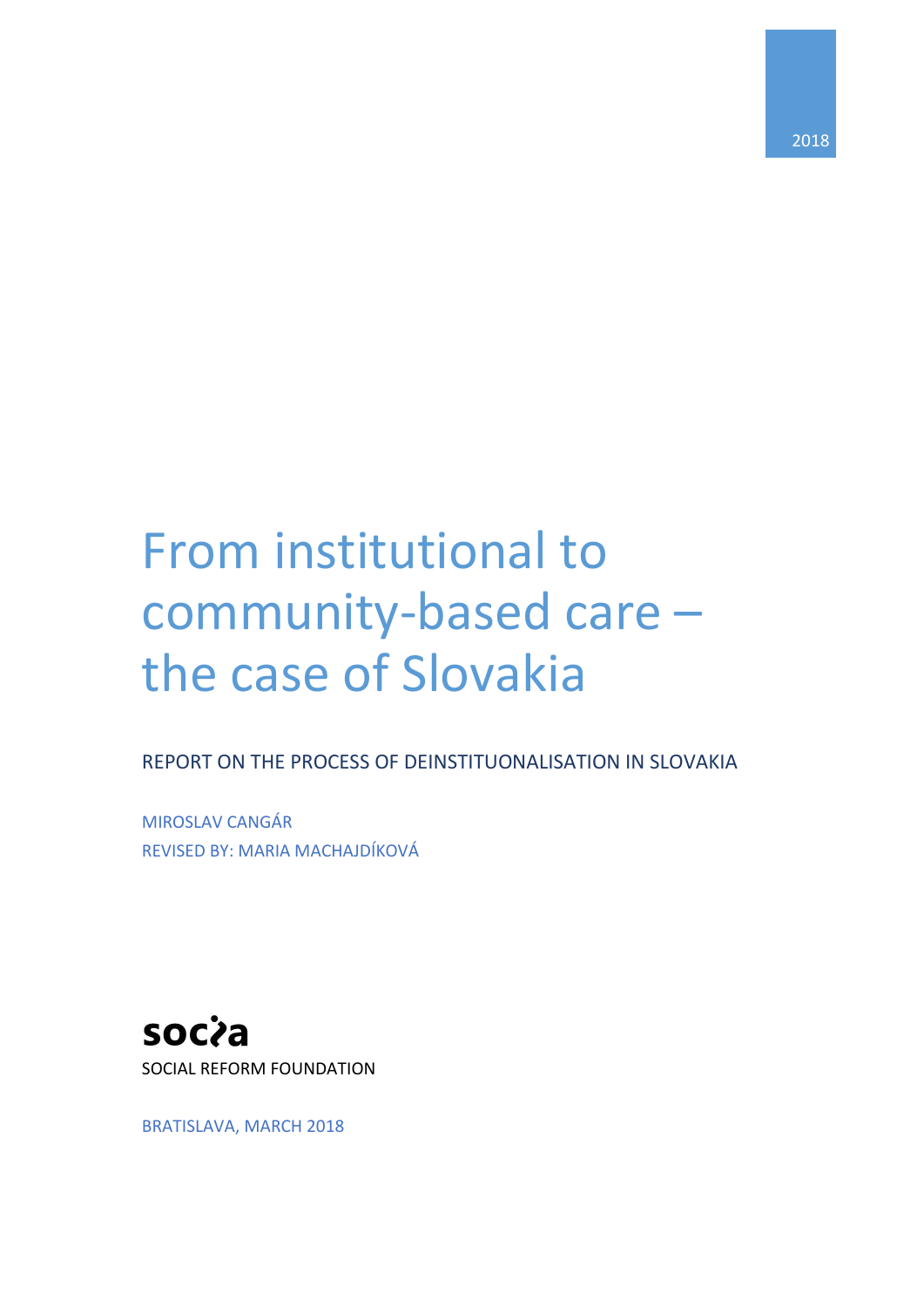# From institutional to community-based care – the case of Slovakia

REPORT ON THE PROCESS OF DEINSTITUONALISATION IN SLOVAKIA

MIROSLAV CANGÁR REVISED BY: MARIA MACHAJDÍKOVÁ

socia SOCIAL REFORM FOUNDATION

BRATISLAVA, MARCH 2018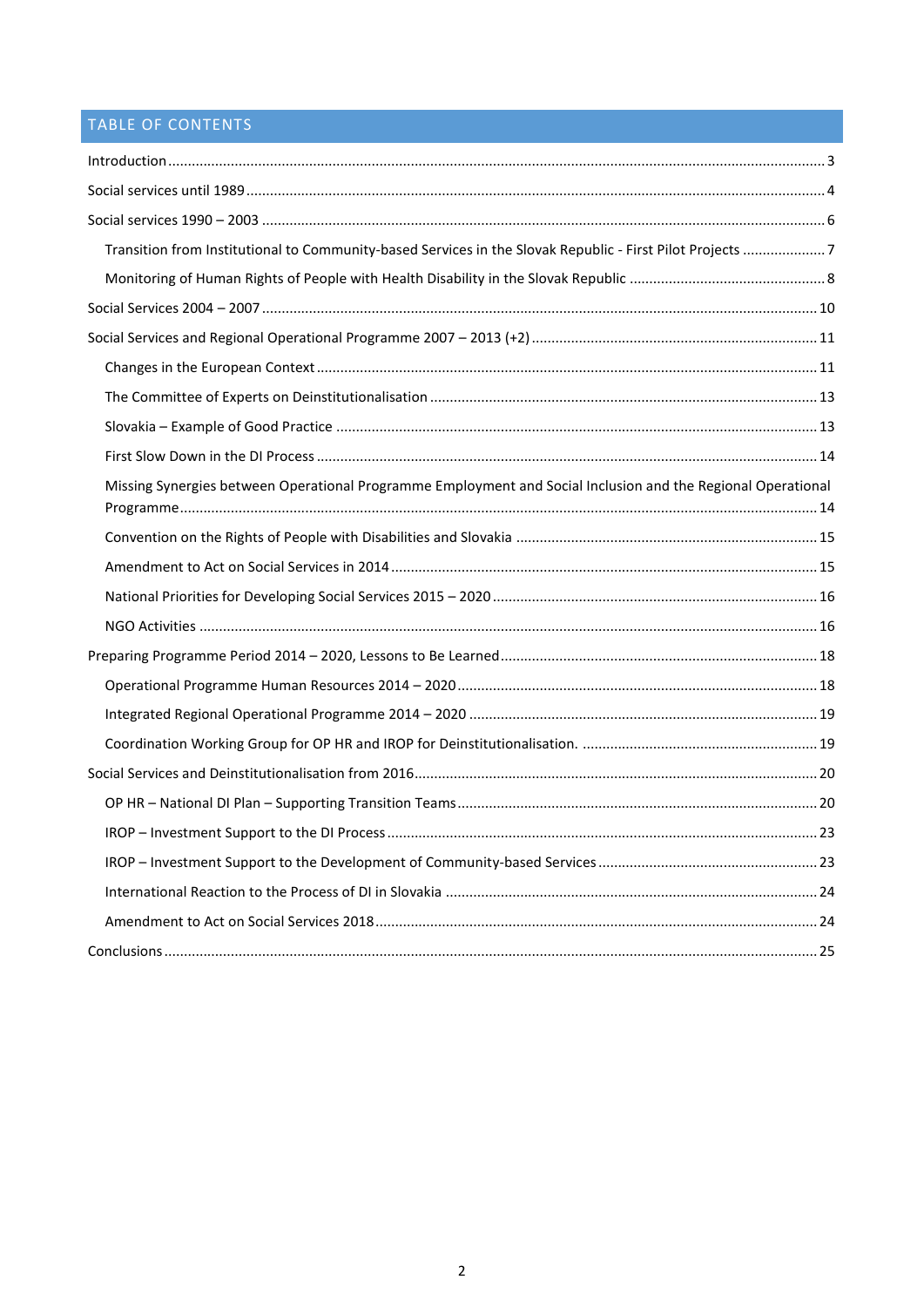## TABLE OF CONTENTS

| Transition from Institutional to Community-based Services in the Slovak Republic - First Pilot Projects  7   |  |
|--------------------------------------------------------------------------------------------------------------|--|
|                                                                                                              |  |
|                                                                                                              |  |
|                                                                                                              |  |
|                                                                                                              |  |
|                                                                                                              |  |
|                                                                                                              |  |
|                                                                                                              |  |
| Missing Synergies between Operational Programme Employment and Social Inclusion and the Regional Operational |  |
|                                                                                                              |  |
|                                                                                                              |  |
|                                                                                                              |  |
|                                                                                                              |  |
|                                                                                                              |  |
|                                                                                                              |  |
|                                                                                                              |  |
|                                                                                                              |  |
|                                                                                                              |  |
|                                                                                                              |  |
|                                                                                                              |  |
|                                                                                                              |  |
|                                                                                                              |  |
|                                                                                                              |  |
|                                                                                                              |  |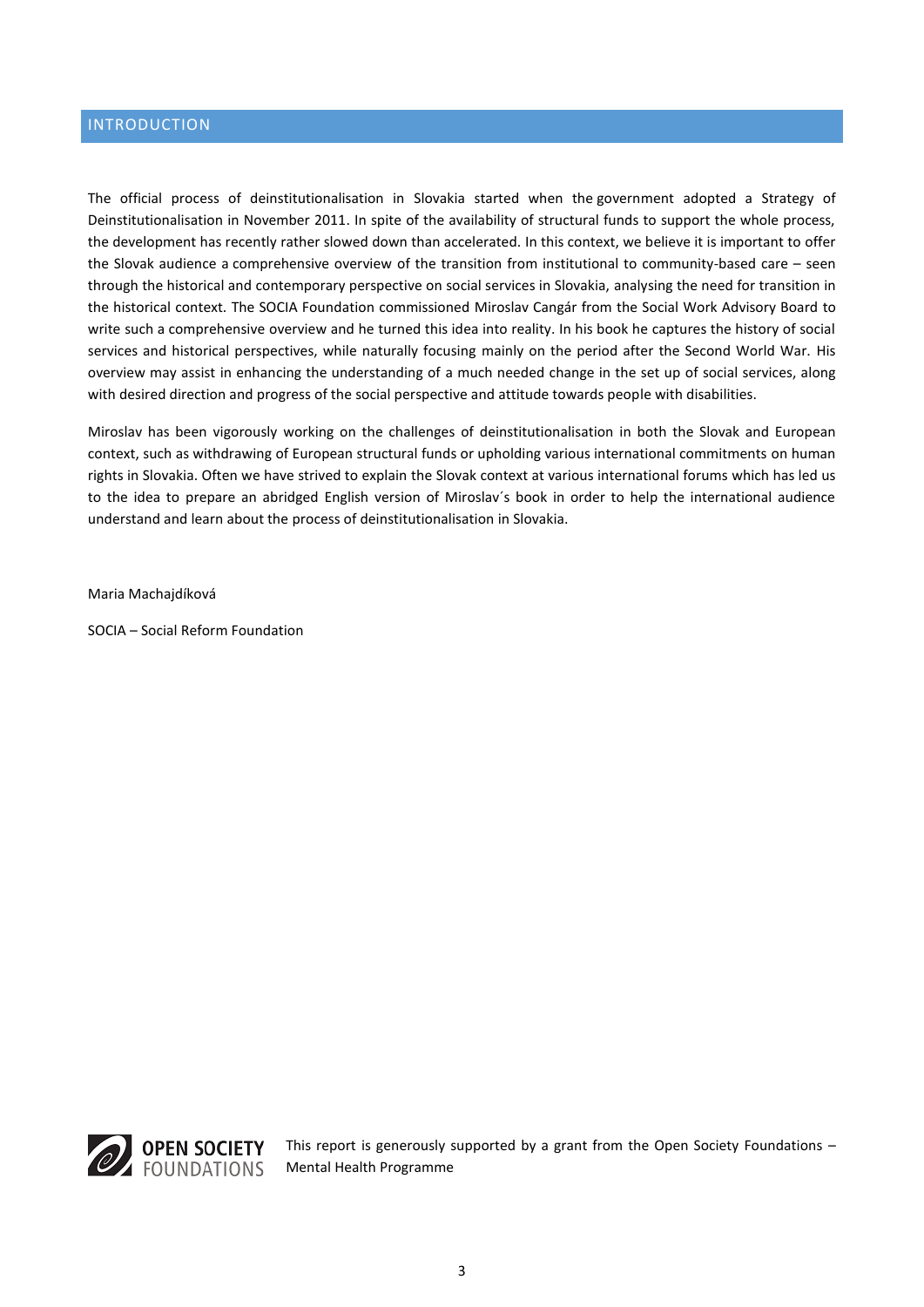## <span id="page-2-0"></span>INTRODUCTION

The official process of deinstitutionalisation in Slovakia started when the government adopted a Strategy of Deinstitutionalisation in November 2011. In spite of the availability of structural funds to support the whole process, the development has recently rather slowed down than accelerated. In this context, we believe it is important to offer the Slovak audience a comprehensive overview of the transition from institutional to community-based care – seen through the historical and contemporary perspective on social services in Slovakia, analysing the need for transition in the historical context. The SOCIA Foundation commissioned Miroslav Cangár from the Social Work Advisory Board to write such a comprehensive overview and he turned this idea into reality. In his book he captures the history of social services and historical perspectives, while naturally focusing mainly on the period after the Second World War. His overview may assist in enhancing the understanding of a much needed change in the set up of social services, along with desired direction and progress of the social perspective and attitude towards people with disabilities.

Miroslav has been vigorously working on the challenges of deinstitutionalisation in both the Slovak and European context, such as withdrawing of European structural funds or upholding various international commitments on human rights in Slovakia. Often we have strived to explain the Slovak context at various international forums which has led us to the idea to prepare an abridged English version of Miroslav´s book in order to help the international audience understand and learn about the process of deinstitutionalisation in Slovakia.

Maria Machajdíková

SOCIA – Social Reform Foundation



This report is generously supported by a grant from the Open Society Foundations – Mental Health Programme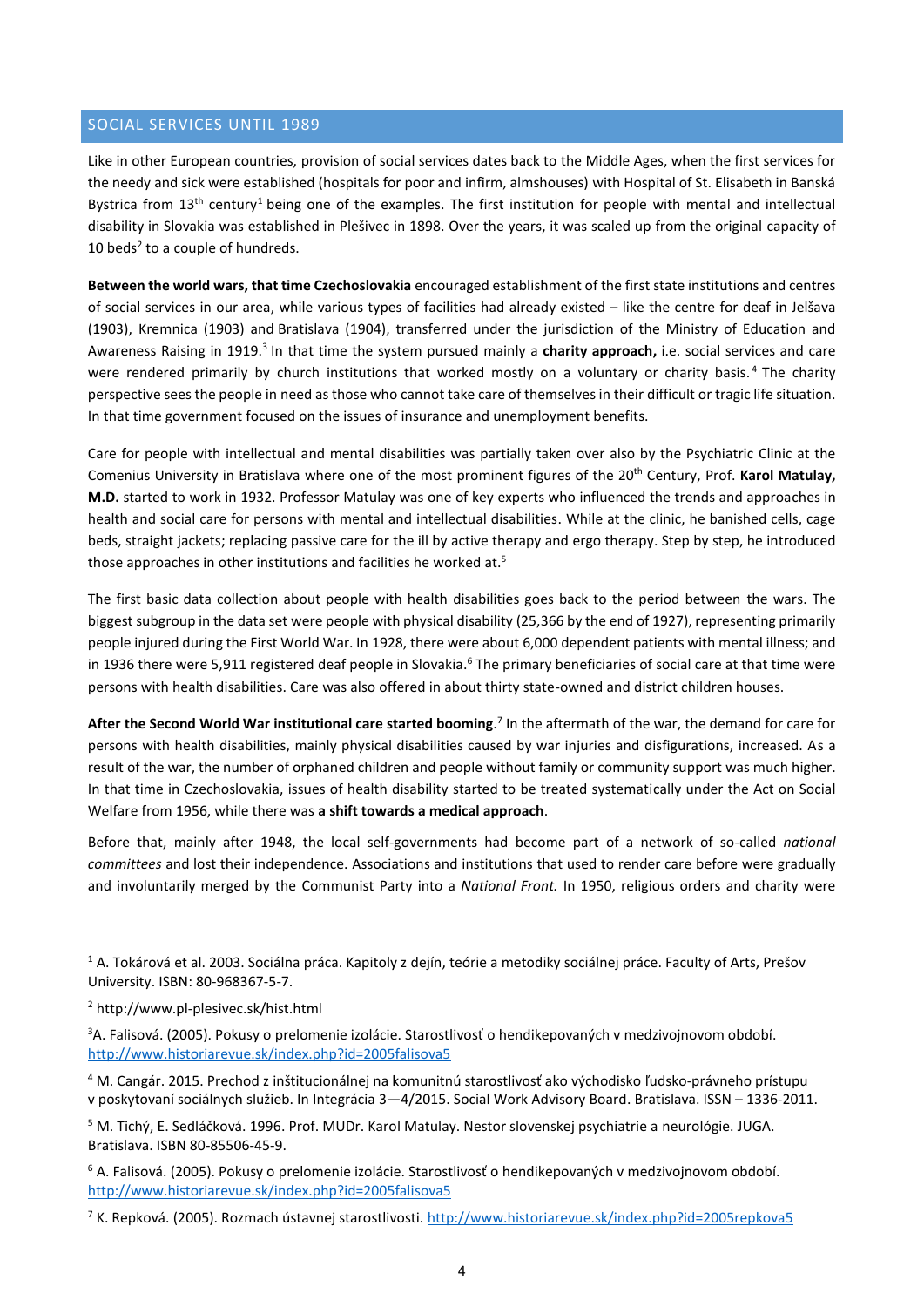## <span id="page-3-0"></span>SOCIAL SERVICES UNTIL 1989

Like in other European countries, provision of social services dates back to the Middle Ages, when the first services for the needy and sick were established (hospitals for poor and infirm, almshouses) with Hospital of St. Elisabeth in Banská Bystrica from  $13<sup>th</sup>$  century<sup>1</sup> being one of the examples. The first institution for people with mental and intellectual disability in Slovakia was established in Plešivec in 1898. Over the years, it was scaled up from the original capacity of 10 beds $2$  to a couple of hundreds.

**Between the world wars, that time Czechoslovakia** encouraged establishment of the first state institutions and centres of social services in our area, while various types of facilities had already existed – like the centre for deaf in Jelšava (1903), Kremnica (1903) and Bratislava (1904), transferred under the jurisdiction of the Ministry of Education and Awareness Raising in 1919.<sup>3</sup> In that time the system pursued mainly a charity approach, i.e. social services and care were rendered primarily by church institutions that worked mostly on a voluntary or charity basis.<sup>4</sup> The charity perspective sees the people in need as those who cannot take care of themselves in their difficult or tragic life situation. In that time government focused on the issues of insurance and unemployment benefits.

Care for people with intellectual and mental disabilities was partially taken over also by the Psychiatric Clinic at the Comenius University in Bratislava where one of the most prominent figures of the 20th Century, Prof. **Karol Matulay, M.D.** started to work in 1932. Professor Matulay was one of key experts who influenced the trends and approaches in health and social care for persons with mental and intellectual disabilities. While at the clinic, he banished cells, cage beds, straight jackets; replacing passive care for the ill by active therapy and ergo therapy. Step by step, he introduced those approaches in other institutions and facilities he worked at.<sup>5</sup>

The first basic data collection about people with health disabilities goes back to the period between the wars. The biggest subgroup in the data set were people with physical disability (25,366 by the end of 1927), representing primarily people injured during the First World War. In 1928, there were about 6,000 dependent patients with mental illness; and in 1936 there were 5,911 registered deaf people in Slovakia.<sup>6</sup> The primary beneficiaries of social care at that time were persons with health disabilities. Care was also offered in about thirty state-owned and district children houses.

After the Second World War institutional care started booming.<sup>7</sup> In the aftermath of the war, the demand for care for persons with health disabilities, mainly physical disabilities caused by war injuries and disfigurations, increased. As a result of the war, the number of orphaned children and people without family or community support was much higher. In that time in Czechoslovakia, issues of health disability started to be treated systematically under the Act on Social Welfare from 1956, while there was **a shift towards a medical approach**.

Before that, mainly after 1948, the local self-governments had become part of a network of so-called *national committees* and lost their independence. Associations and institutions that used to render care before were gradually and involuntarily merged by the Communist Party into a *National Front.* In 1950, religious orders and charity were

<sup>1</sup> A. Tokárová et al. 2003. Sociálna práca. Kapitoly z dejín, teórie a metodiky sociálnej práce. Faculty of Arts, Prešov University. ISBN: 80-968367-5-7.

<sup>2</sup> http://www.pl-plesivec.sk/hist.html

<sup>&</sup>lt;sup>3</sup>A. Falisová. (2005). Pokusy o prelomenie izolácie. Starostlivosť o hendikepovaných v medzivojnovom období. <http://www.historiarevue.sk/index.php?id=2005falisova5>

<sup>4</sup> M. Cangár. 2015. Prechod z inštitucionálnej na komunitnú starostlivosť ako východisko ľudsko-právneho prístupu v poskytovaní sociálnych služieb. In Integrácia 3—4/2015. Social Work Advisory Board. Bratislava. ISSN – 1336-2011.

<sup>5</sup> M. Tichý, E. Sedláčková. 1996. Prof. MUDr. Karol Matulay. Nestor slovenskej psychiatrie a neurológie. JUGA. Bratislava. ISBN 80-85506-45-9.

<sup>6</sup> A. Falisová. (2005). Pokusy o prelomenie izolácie. Starostlivosť o hendikepovaných v medzivojnovom období. <http://www.historiarevue.sk/index.php?id=2005falisova5>

<sup>&</sup>lt;sup>7</sup> K. Repková. (2005). Rozmach ústavnej starostlivosti. <http://www.historiarevue.sk/index.php?id=2005repkova5>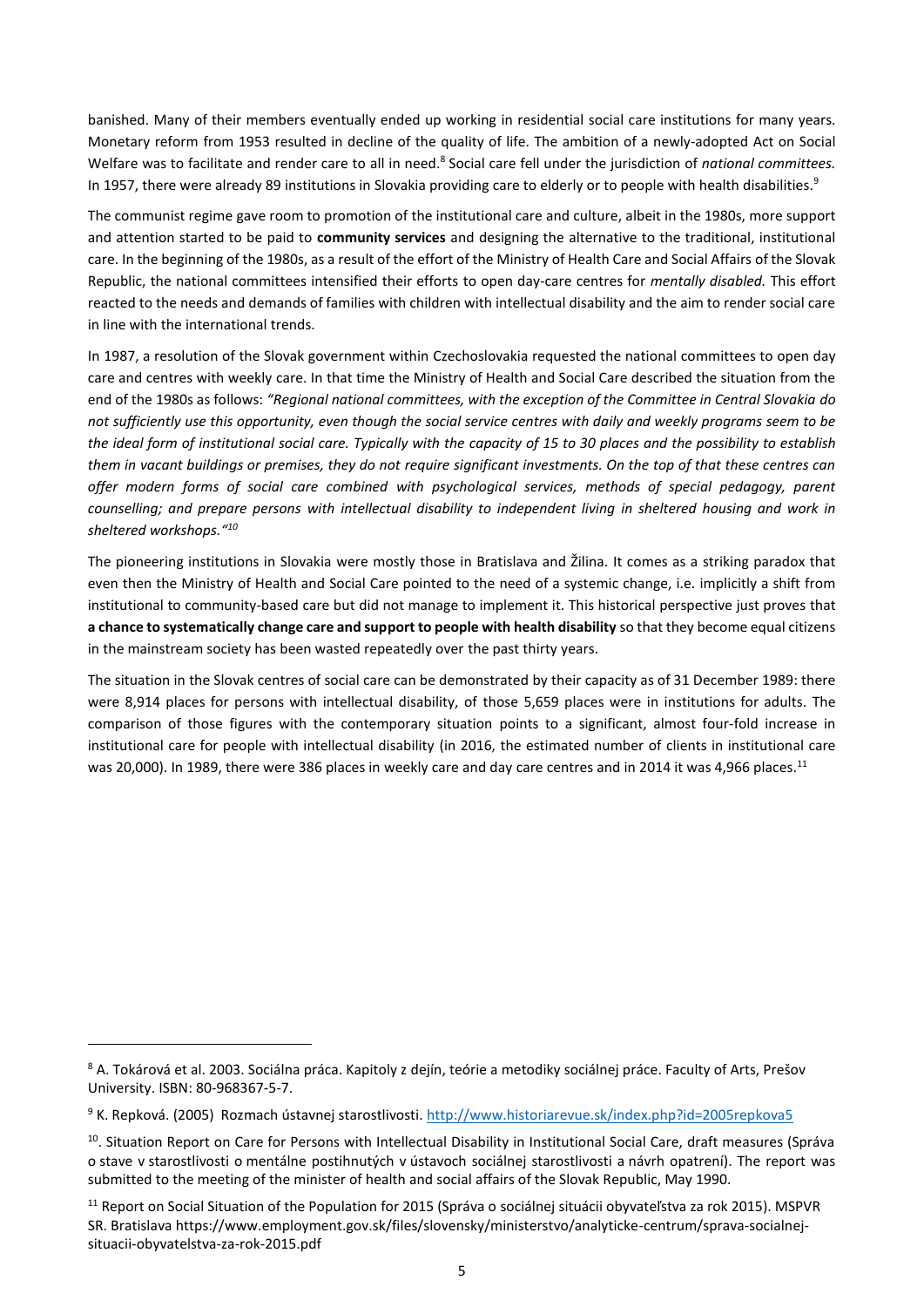banished. Many of their members eventually ended up working in residential social care institutions for many years. Monetary reform from 1953 resulted in decline of the quality of life. The ambition of a newly-adopted Act on Social Welfare was to facilitate and render care to all in need.<sup>8</sup> Social care fell under the jurisdiction of *national committees.* In 1957, there were already 89 institutions in Slovakia providing care to elderly or to people with health disabilities.<sup>9</sup>

The communist regime gave room to promotion of the institutional care and culture, albeit in the 1980s, more support and attention started to be paid to **community services** and designing the alternative to the traditional, institutional care. In the beginning of the 1980s, as a result of the effort of the Ministry of Health Care and Social Affairs of the Slovak Republic, the national committees intensified their efforts to open day-care centres for *mentally disabled.* This effort reacted to the needs and demands of families with children with intellectual disability and the aim to render social care in line with the international trends.

In 1987, a resolution of the Slovak government within Czechoslovakia requested the national committees to open day care and centres with weekly care. In that time the Ministry of Health and Social Care described the situation from the end of the 1980s as follows: *"Regional national committees, with the exception of the Committee in Central Slovakia do not sufficiently use this opportunity, even though the social service centres with daily and weekly programs seem to be the ideal form of institutional social care. Typically with the capacity of 15 to 30 places and the possibility to establish them in vacant buildings or premises, they do not require significant investments. On the top of that these centres can offer modern forms of social care combined with psychological services, methods of special pedagogy, parent counselling; and prepare persons with intellectual disability to independent living in sheltered housing and work in sheltered workshops."<sup>10</sup>*

The pioneering institutions in Slovakia were mostly those in Bratislava and Žilina. It comes as a striking paradox that even then the Ministry of Health and Social Care pointed to the need of a systemic change, i.e. implicitly a shift from institutional to community-based care but did not manage to implement it. This historical perspective just proves that **a chance to systematically change care and support to people with health disability** so that they become equal citizens in the mainstream society has been wasted repeatedly over the past thirty years.

The situation in the Slovak centres of social care can be demonstrated by their capacity as of 31 December 1989: there were 8,914 places for persons with intellectual disability, of those 5,659 places were in institutions for adults. The comparison of those figures with the contemporary situation points to a significant, almost four-fold increase in institutional care for people with intellectual disability (in 2016, the estimated number of clients in institutional care was 20,000). In 1989, there were 386 places in weekly care and day care centres and in 2014 it was 4,966 places.<sup>11</sup>

<sup>8</sup> A. Tokárová et al. 2003. Sociálna práca. Kapitoly z dejín, teórie a metodiky sociálnej práce. Faculty of Arts, Prešov University. ISBN: 80-968367-5-7.

<sup>9</sup> K. Repková. (2005) Rozmach ústavnej starostlivosti. <http://www.historiarevue.sk/index.php?id=2005repkova5>

<sup>&</sup>lt;sup>10</sup>. Situation Report on Care for Persons with Intellectual Disability in Institutional Social Care, draft measures (Správa o stave v starostlivosti o mentálne postihnutých v ústavoch sociálnej starostlivosti a návrh opatrení). The report was submitted to the meeting of the minister of health and social affairs of the Slovak Republic, May 1990.

<sup>11</sup> Report on Social Situation of the Population for 2015 (Správa o sociálnej situácii obyvateľstva za rok 2015). MSPVR SR. Bratislava https://www.employment.gov.sk/files/slovensky/ministerstvo/analyticke-centrum/sprava-socialnejsituacii-obyvatelstva-za-rok-2015.pdf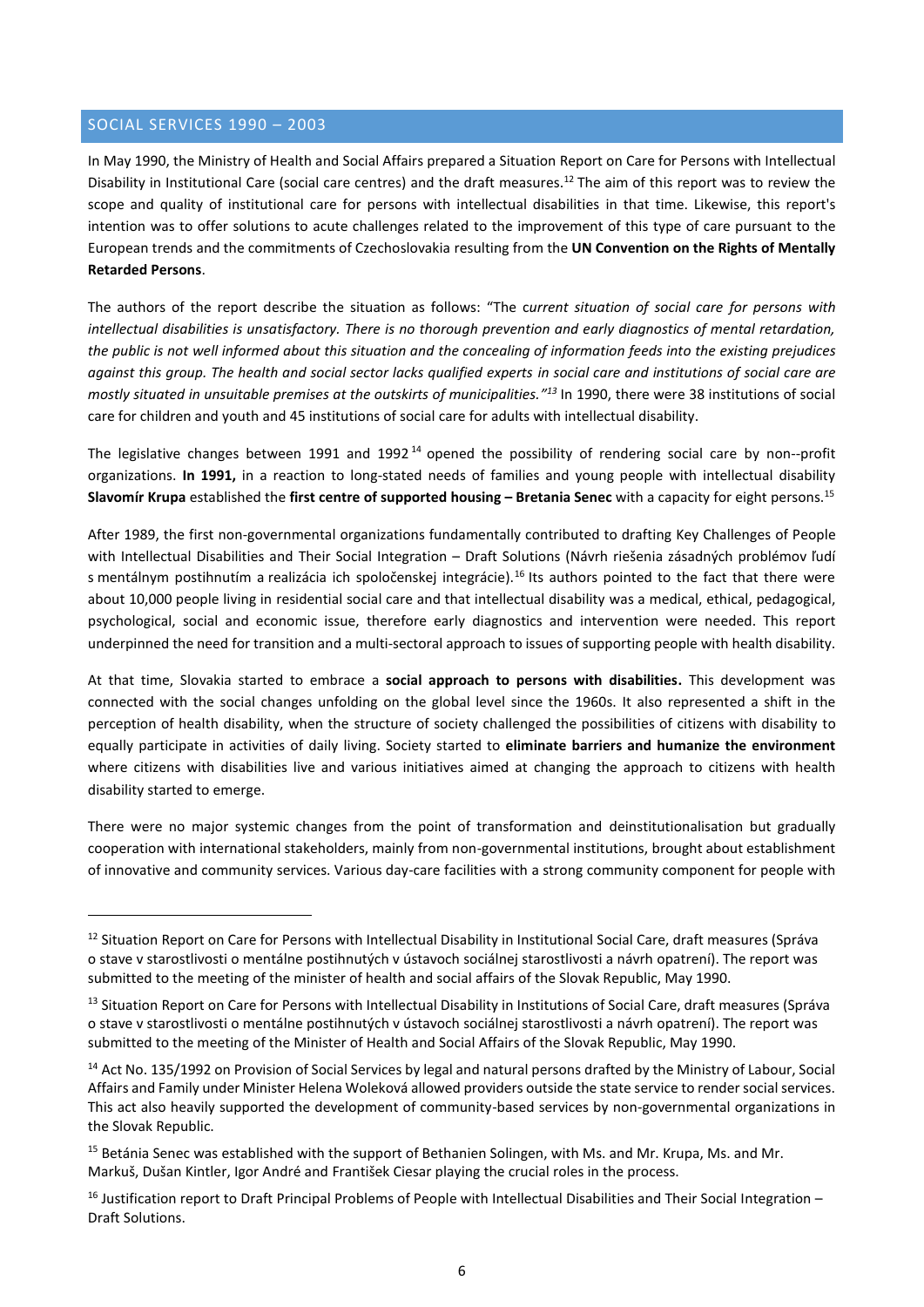## <span id="page-5-0"></span>SOCIAL SERVICES 1990 – 2003

**.** 

In May 1990, the Ministry of Health and Social Affairs prepared a Situation Report on Care for Persons with Intellectual Disability in Institutional Care (social care centres) and the draft measures. <sup>12</sup> The aim of this report was to review the scope and quality of institutional care for persons with intellectual disabilities in that time. Likewise, this report's intention was to offer solutions to acute challenges related to the improvement of this type of care pursuant to the European trends and the commitments of Czechoslovakia resulting from the **UN Convention on the Rights of Mentally Retarded Persons**.

The authors of the report describe the situation as follows: "The c*urrent situation of social care for persons with intellectual disabilities is unsatisfactory. There is no thorough prevention and early diagnostics of mental retardation, the public is not well informed about this situation and the concealing of information feeds into the existing prejudices against this group. The health and social sector lacks qualified experts in social care and institutions of social care are mostly situated in unsuitable premises at the outskirts of municipalities." <sup>13</sup>* In 1990, there were 38 institutions of social care for children and youth and 45 institutions of social care for adults with intellectual disability.

The legislative changes between 1991 and 1992<sup>14</sup> opened the possibility of rendering social care by non--profit organizations. **In 1991,** in a reaction to long-stated needs of families and young people with intellectual disability **Slavomír Krupa** established the **first centre of supported housing – Bretania Senec** with a capacity for eight persons. 15

After 1989, the first non-governmental organizations fundamentally contributed to drafting Key Challenges of People with Intellectual Disabilities and Their Social Integration – Draft Solutions (Návrh riešenia zásadných problémov ľudí s mentálnym postihnutím a realizácia ich spoločenskej integrácie).<sup>16</sup> Its authors pointed to the fact that there were about 10,000 people living in residential social care and that intellectual disability was a medical, ethical, pedagogical, psychological, social and economic issue, therefore early diagnostics and intervention were needed. This report underpinned the need for transition and a multi-sectoral approach to issues of supporting people with health disability.

At that time, Slovakia started to embrace a **social approach to persons with disabilities.** This development was connected with the social changes unfolding on the global level since the 1960s. It also represented a shift in the perception of health disability, when the structure of society challenged the possibilities of citizens with disability to equally participate in activities of daily living. Society started to **eliminate barriers and humanize the environment**  where citizens with disabilities live and various initiatives aimed at changing the approach to citizens with health disability started to emerge.

There were no major systemic changes from the point of transformation and deinstitutionalisation but gradually cooperation with international stakeholders, mainly from non-governmental institutions, brought about establishment of innovative and community services. Various day-care facilities with a strong community component for people with

<sup>&</sup>lt;sup>12</sup> Situation Report on Care for Persons with Intellectual Disability in Institutional Social Care, draft measures (Správa o stave v starostlivosti o mentálne postihnutých v ústavoch sociálnej starostlivosti a návrh opatrení). The report was submitted to the meeting of the minister of health and social affairs of the Slovak Republic, May 1990.

<sup>&</sup>lt;sup>13</sup> Situation Report on Care for Persons with Intellectual Disability in Institutions of Social Care, draft measures (Správa o stave v starostlivosti o mentálne postihnutých v ústavoch sociálnej starostlivosti a návrh opatrení). The report was submitted to the meeting of the Minister of Health and Social Affairs of the Slovak Republic, May 1990.

<sup>&</sup>lt;sup>14</sup> Act No. 135/1992 on Provision of Social Services by legal and natural persons drafted by the Ministry of Labour, Social Affairs and Family under Minister Helena Woleková allowed providers outside the state service to render social services. This act also heavily supported the development of community-based services by non-governmental organizations in the Slovak Republic.

<sup>&</sup>lt;sup>15</sup> Betánia Senec was established with the support of Bethanien Solingen, with Ms. and Mr. Krupa, Ms. and Mr. Markuš, Dušan Kintler, Igor André and František Ciesar playing the crucial roles in the process.

<sup>&</sup>lt;sup>16</sup> Justification report to Draft Principal Problems of People with Intellectual Disabilities and Their Social Integration – Draft Solutions.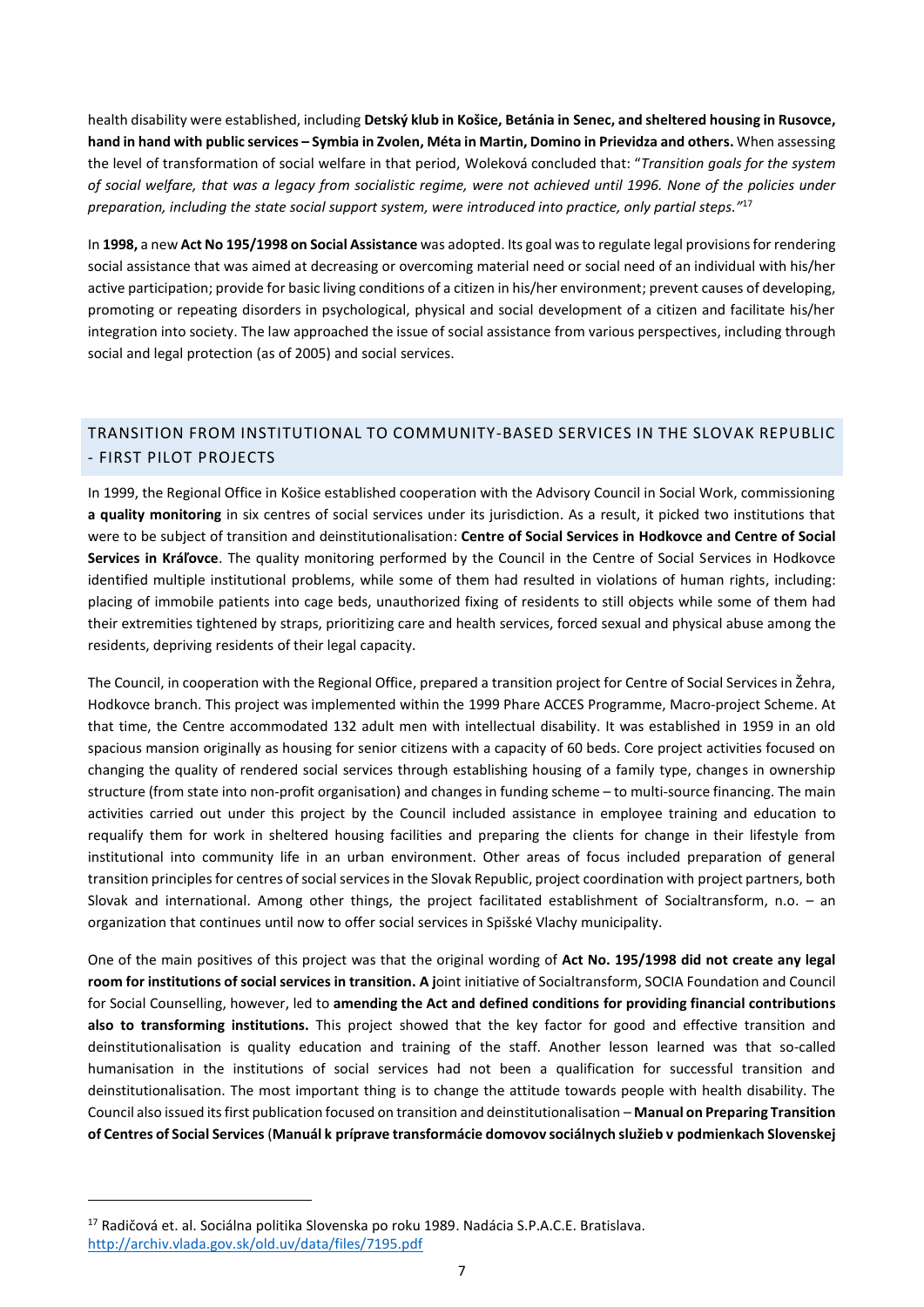health disability were established, including **Detský klub in Košice, Betánia in Senec, and sheltered housing in Rusovce, hand in hand with public services – Symbia in Zvolen, Méta in Martin, Domino in Prievidza and others.** When assessing the level of transformation of social welfare in that period, Woleková concluded that: "*Transition goals for the system of social welfare, that was a legacy from socialistic regime, were not achieved until 1996. None of the policies under preparation, including the state social support system, were introduced into practice, only partial steps."* 17

In **1998,** a new **Act No 195/1998 on Social Assistance** was adopted. Its goal was to regulate legal provisions for rendering social assistance that was aimed at decreasing or overcoming material need or social need of an individual with his/her active participation; provide for basic living conditions of a citizen in his/her environment; prevent causes of developing, promoting or repeating disorders in psychological, physical and social development of a citizen and facilitate his/her integration into society. The law approached the issue of social assistance from various perspectives, including through social and legal protection (as of 2005) and social services.

## <span id="page-6-0"></span>TRANSITION FROM INSTITUTIONAL TO COMMUNITY-BASED SERVICES IN THE SLOVAK REPUBLIC - FIRST PILOT PROJECTS

In 1999, the Regional Office in Košice established cooperation with the Advisory Council in Social Work, commissioning **a quality monitoring** in six centres of social services under its jurisdiction. As a result, it picked two institutions that were to be subject of transition and deinstitutionalisation: **Centre of Social Services in Hodkovce and Centre of Social Services in Kráľovce**. The quality monitoring performed by the Council in the Centre of Social Services in Hodkovce identified multiple institutional problems, while some of them had resulted in violations of human rights, including: placing of immobile patients into cage beds, unauthorized fixing of residents to still objects while some of them had their extremities tightened by straps, prioritizing care and health services, forced sexual and physical abuse among the residents, depriving residents of their legal capacity.

The Council, in cooperation with the Regional Office, prepared a transition project for Centre of Social Services in Žehra, Hodkovce branch. This project was implemented within the 1999 Phare ACCES Programme, Macro-project Scheme. At that time, the Centre accommodated 132 adult men with intellectual disability. It was established in 1959 in an old spacious mansion originally as housing for senior citizens with a capacity of 60 beds. Core project activities focused on changing the quality of rendered social services through establishing housing of a family type, changes in ownership structure (from state into non-profit organisation) and changes in funding scheme – to multi-source financing. The main activities carried out under this project by the Council included assistance in employee training and education to requalify them for work in sheltered housing facilities and preparing the clients for change in their lifestyle from institutional into community life in an urban environment. Other areas of focus included preparation of general transition principles for centres of social services in the Slovak Republic, project coordination with project partners, both Slovak and international. Among other things, the project facilitated establishment of Socialtransform, n.o. – an organization that continues until now to offer social services in Spišské Vlachy municipality.

One of the main positives of this project was that the original wording of **Act No. 195/1998 did not create any legal room for institutions of social services in transition. A j**oint initiative of Socialtransform, SOCIA Foundation and Council for Social Counselling, however, led to **amending the Act and defined conditions for providing financial contributions also to transforming institutions.** This project showed that the key factor for good and effective transition and deinstitutionalisation is quality education and training of the staff. Another lesson learned was that so-called humanisation in the institutions of social services had not been a qualification for successful transition and deinstitutionalisation. The most important thing is to change the attitude towards people with health disability. The Council also issued its first publication focused on transition and deinstitutionalisation – **Manual on Preparing Transition of Centres of Social Services** (**Manuál k príprave transformácie domovov sociálnych služieb v podmienkach Slovenskej** 

<sup>17</sup> Radičová et. al. Sociálna politika Slovenska po roku 1989. Nadácia S.P.A.C.E. Bratislava. <http://archiv.vlada.gov.sk/old.uv/data/files/7195.pdf>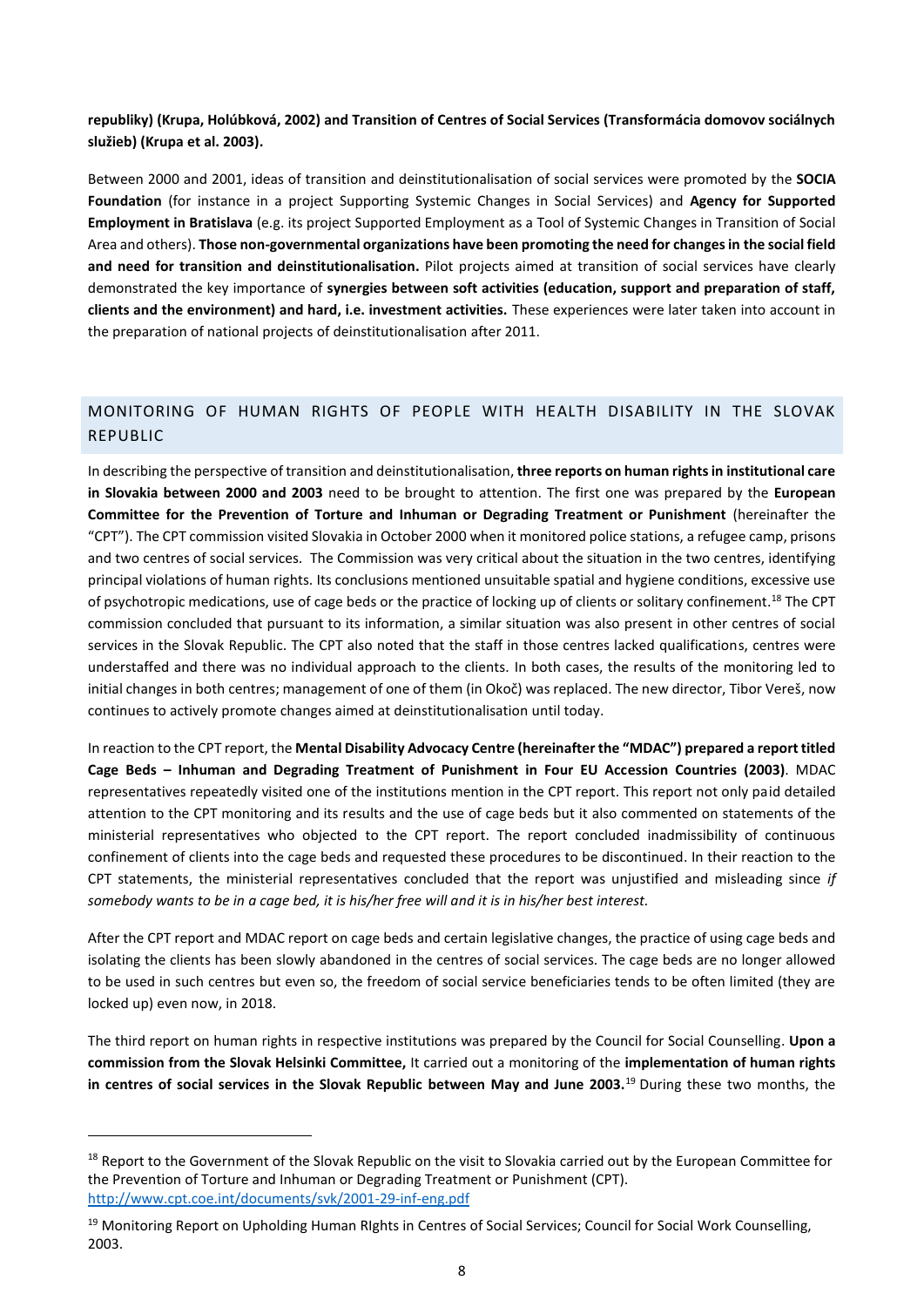**republiky) (Krupa, Holúbková, 2002) and Transition of Centres of Social Services (Transformácia domovov sociálnych služieb) (Krupa et al. 2003).**

Between 2000 and 2001, ideas of transition and deinstitutionalisation of social services were promoted by the **SOCIA Foundation** (for instance in a project Supporting Systemic Changes in Social Services) and **Agency for Supported Employment in Bratislava** (e.g. its project Supported Employment as a Tool of Systemic Changes in Transition of Social Area and others). **Those non-governmental organizations have been promoting the need for changes in the social field and need for transition and deinstitutionalisation.** Pilot projects aimed at transition of social services have clearly demonstrated the key importance of **synergies between soft activities (education, support and preparation of staff, clients and the environment) and hard, i.e. investment activities.** These experiences were later taken into account in the preparation of national projects of deinstitutionalisation after 2011.

## <span id="page-7-0"></span>MONITORING OF HUMAN RIGHTS OF PEOPLE WITH HEALTH DISABILITY IN THE SLOVAK REPUBLIC

In describing the perspective of transition and deinstitutionalisation, **three reports on human rights in institutional care in Slovakia between 2000 and 2003** need to be brought to attention. The first one was prepared by the **European Committee for the Prevention of Torture and Inhuman or Degrading Treatment or Punishment** (hereinafter the "CPT"). The CPT commission visited Slovakia in October 2000 when it monitored police stations, a refugee camp, prisons and two centres of social services. The Commission was very critical about the situation in the two centres, identifying principal violations of human rights. Its conclusions mentioned unsuitable spatial and hygiene conditions, excessive use of psychotropic medications, use of cage beds or the practice of locking up of clients or solitary confinement.<sup>18</sup> The CPT commission concluded that pursuant to its information, a similar situation was also present in other centres of social services in the Slovak Republic. The CPT also noted that the staff in those centres lacked qualifications, centres were understaffed and there was no individual approach to the clients. In both cases, the results of the monitoring led to initial changes in both centres; management of one of them (in Okoč) was replaced. The new director, Tibor Vereš, now continues to actively promote changes aimed at deinstitutionalisation until today.

In reaction to the CPT report, the **Mental Disability Advocacy Centre (hereinafter the "MDAC") prepared a report titled Cage Beds – Inhuman and Degrading Treatment of Punishment in Four EU Accession Countries (2003)**. MDAC representatives repeatedly visited one of the institutions mention in the CPT report. This report not only paid detailed attention to the CPT monitoring and its results and the use of cage beds but it also commented on statements of the ministerial representatives who objected to the CPT report. The report concluded inadmissibility of continuous confinement of clients into the cage beds and requested these procedures to be discontinued. In their reaction to the CPT statements, the ministerial representatives concluded that the report was unjustified and misleading since *if somebody wants to be in a cage bed, it is his/her free will and it is in his/her best interest.* 

After the CPT report and MDAC report on cage beds and certain legislative changes, the practice of using cage beds and isolating the clients has been slowly abandoned in the centres of social services. The cage beds are no longer allowed to be used in such centres but even so, the freedom of social service beneficiaries tends to be often limited (they are locked up) even now, in 2018.

The third report on human rights in respective institutions was prepared by the Council for Social Counselling. **Upon a commission from the Slovak Helsinki Committee,** It carried out a monitoring of the **implementation of human rights in centres of social services in the Slovak Republic between May and June 2003.** <sup>19</sup> During these two months, the

<sup>&</sup>lt;sup>18</sup> Report to the Government of the Slovak Republic on the visit to Slovakia carried out by the European Committee for the Prevention of Torture and Inhuman or Degrading Treatment or Punishment (CPT). <http://www.cpt.coe.int/documents/svk/2001-29-inf-eng.pdf>

<sup>&</sup>lt;sup>19</sup> Monitoring Report on Upholding Human RIghts in Centres of Social Services; Council for Social Work Counselling, 2003.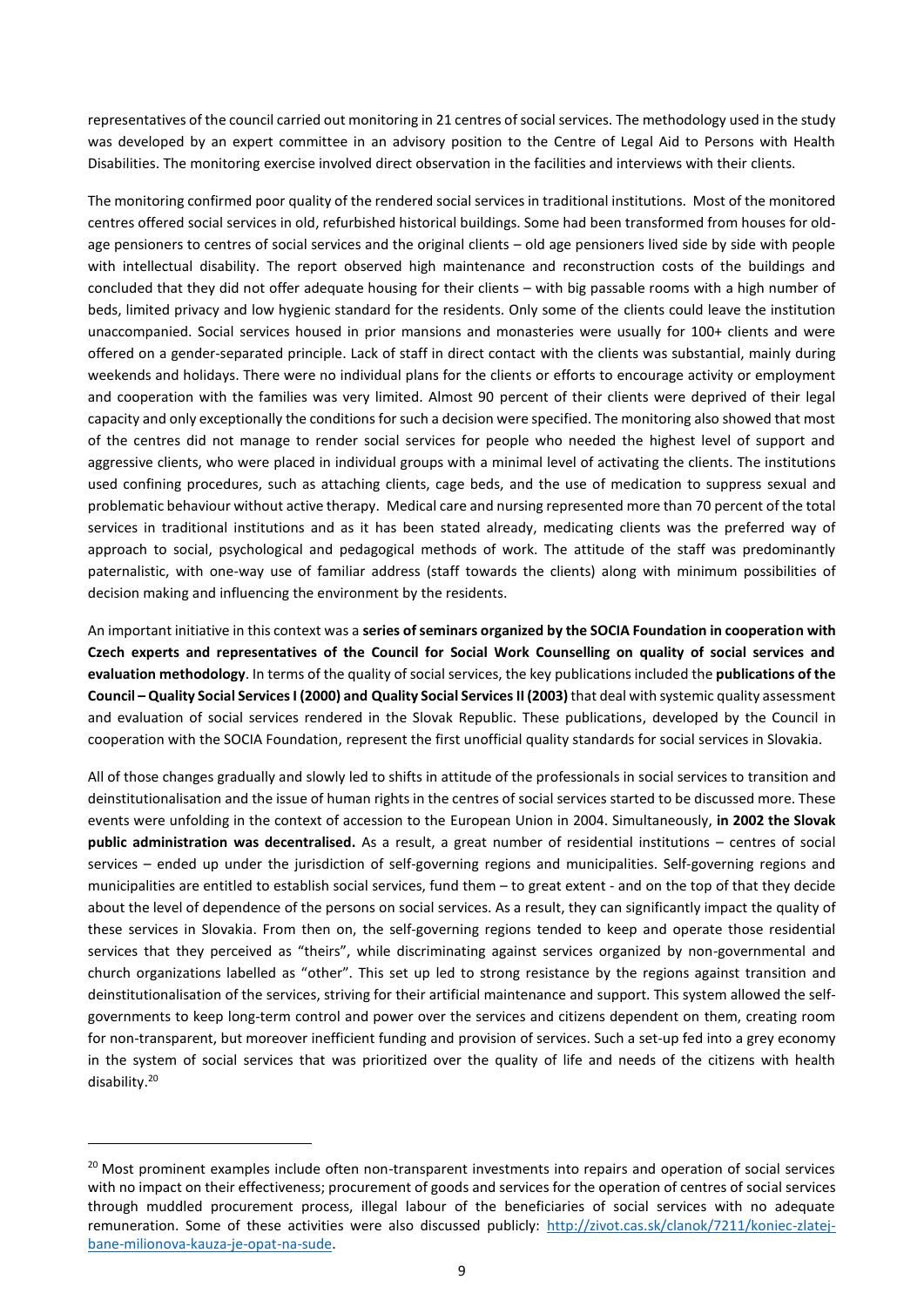representatives of the council carried out monitoring in 21 centres of social services. The methodology used in the study was developed by an expert committee in an advisory position to the Centre of Legal Aid to Persons with Health Disabilities. The monitoring exercise involved direct observation in the facilities and interviews with their clients.

The monitoring confirmed poor quality of the rendered social services in traditional institutions. Most of the monitored centres offered social services in old, refurbished historical buildings. Some had been transformed from houses for oldage pensioners to centres of social services and the original clients – old age pensioners lived side by side with people with intellectual disability. The report observed high maintenance and reconstruction costs of the buildings and concluded that they did not offer adequate housing for their clients – with big passable rooms with a high number of beds, limited privacy and low hygienic standard for the residents. Only some of the clients could leave the institution unaccompanied. Social services housed in prior mansions and monasteries were usually for 100+ clients and were offered on a gender-separated principle. Lack of staff in direct contact with the clients was substantial, mainly during weekends and holidays. There were no individual plans for the clients or efforts to encourage activity or employment and cooperation with the families was very limited. Almost 90 percent of their clients were deprived of their legal capacity and only exceptionally the conditions forsuch a decision were specified. The monitoring also showed that most of the centres did not manage to render social services for people who needed the highest level of support and aggressive clients, who were placed in individual groups with a minimal level of activating the clients. The institutions used confining procedures, such as attaching clients, cage beds, and the use of medication to suppress sexual and problematic behaviour without active therapy. Medical care and nursing represented more than 70 percent of the total services in traditional institutions and as it has been stated already, medicating clients was the preferred way of approach to social, psychological and pedagogical methods of work. The attitude of the staff was predominantly paternalistic, with one-way use of familiar address (staff towards the clients) along with minimum possibilities of decision making and influencing the environment by the residents.

An important initiative in this context was a **series of seminars organized by the SOCIA Foundation in cooperation with Czech experts and representatives of the Council for Social Work Counselling on quality of social services and evaluation methodology**. In terms of the quality of social services, the key publications included the **publications of the Council – Quality Social Services I (2000) and Quality Social ServicesII (2003)**that deal with systemic quality assessment and evaluation of social services rendered in the Slovak Republic. These publications, developed by the Council in cooperation with the SOCIA Foundation, represent the first unofficial quality standards for social services in Slovakia.

All of those changes gradually and slowly led to shifts in attitude of the professionals in social services to transition and deinstitutionalisation and the issue of human rights in the centres of social services started to be discussed more. These events were unfolding in the context of accession to the European Union in 2004. Simultaneously, **in 2002 the Slovak public administration was decentralised.** As a result, a great number of residential institutions – centres of social services – ended up under the jurisdiction of self-governing regions and municipalities. Self-governing regions and municipalities are entitled to establish social services, fund them – to great extent - and on the top of that they decide about the level of dependence of the persons on social services. As a result, they can significantly impact the quality of these services in Slovakia. From then on, the self-governing regions tended to keep and operate those residential services that they perceived as "theirs", while discriminating against services organized by non-governmental and church organizations labelled as "other". This set up led to strong resistance by the regions against transition and deinstitutionalisation of the services, striving for their artificial maintenance and support. This system allowed the selfgovernments to keep long-term control and power over the services and citizens dependent on them, creating room for non-transparent, but moreover inefficient funding and provision of services. Such a set-up fed into a grey economy in the system of social services that was prioritized over the quality of life and needs of the citizens with health disability. 20

<sup>&</sup>lt;sup>20</sup> Most prominent examples include often non-transparent investments into repairs and operation of social services with no impact on their effectiveness; procurement of goods and services for the operation of centres of social services through muddled procurement process, illegal labour of the beneficiaries of social services with no adequate remuneration. Some of these activities were also discussed publicly: [http://zivot.cas.sk/clanok/7211/koniec-zlatej](http://zivot.cas.sk/clanok/7211/koniec-zlatej-bane-milionova-kauza-je-opat-na-sude)[bane-milionova-kauza-je-opat-na-sude.](http://zivot.cas.sk/clanok/7211/koniec-zlatej-bane-milionova-kauza-je-opat-na-sude)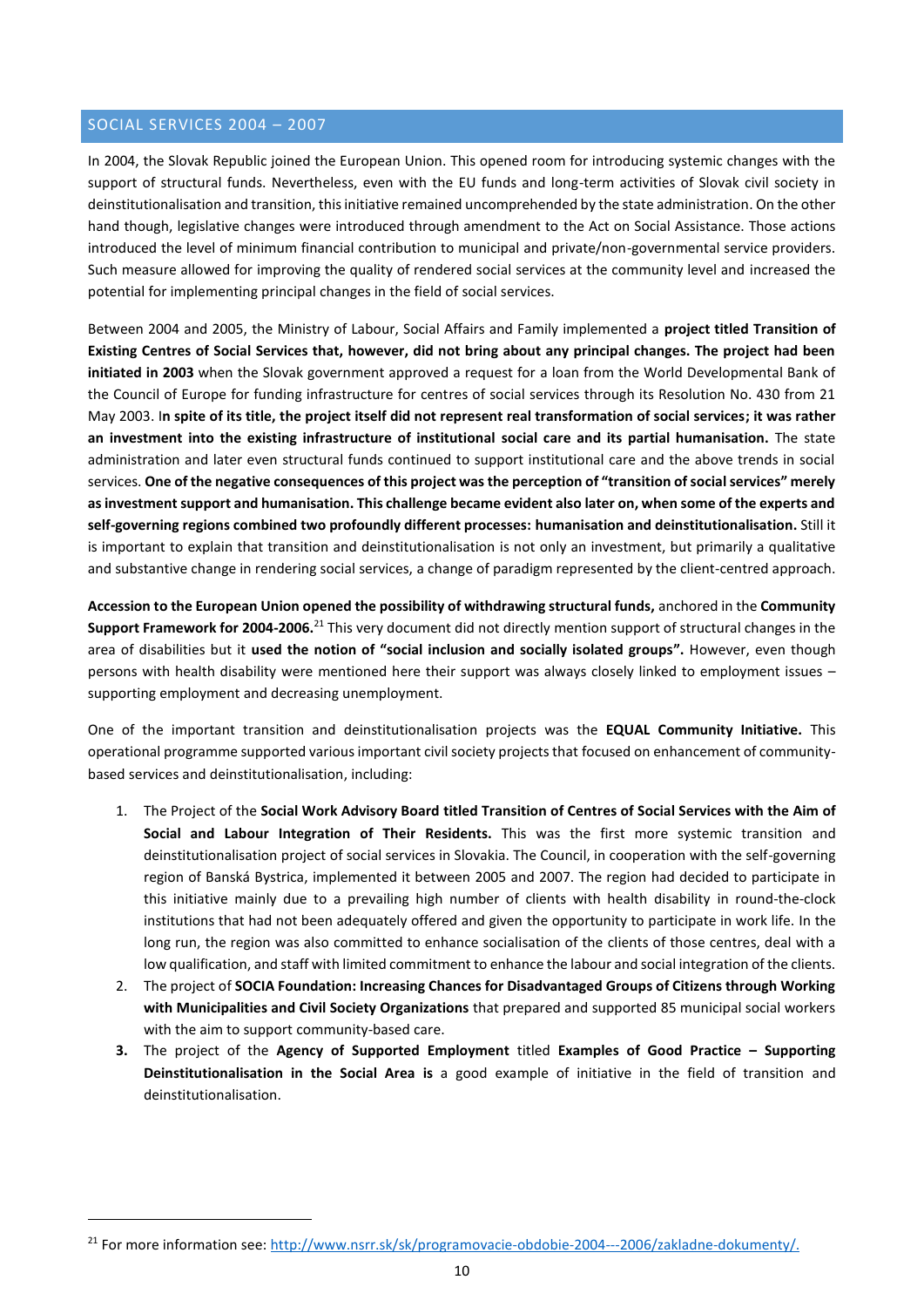## <span id="page-9-0"></span>SOCIAL SERVICES 2004 – 2007

1

In 2004, the Slovak Republic joined the European Union. This opened room for introducing systemic changes with the support of structural funds. Nevertheless, even with the EU funds and long-term activities of Slovak civil society in deinstitutionalisation and transition, this initiative remained uncomprehended by the state administration. On the other hand though, legislative changes were introduced through amendment to the Act on Social Assistance. Those actions introduced the level of minimum financial contribution to municipal and private/non-governmental service providers. Such measure allowed for improving the quality of rendered social services at the community level and increased the potential for implementing principal changes in the field of social services.

Between 2004 and 2005, the Ministry of Labour, Social Affairs and Family implemented a **project titled Transition of Existing Centres of Social Services that, however, did not bring about any principal changes. The project had been initiated in 2003** when the Slovak government approved a request for a loan from the World Developmental Bank of the Council of Europe for funding infrastructure for centres of social services through its Resolution No. 430 from 21 May 2003. I**n spite of its title, the project itself did not represent real transformation of social services; it was rather an investment into the existing infrastructure of institutional social care and its partial humanisation.** The state administration and later even structural funds continued to support institutional care and the above trends in social services. **One of the negative consequences of this project was the perception of "transition of social services" merely as investment support and humanisation. This challenge became evident also later on, when some of the experts and self-governing regions combined two profoundly different processes: humanisation and deinstitutionalisation.** Still it is important to explain that transition and deinstitutionalisation is not only an investment, but primarily a qualitative and substantive change in rendering social services, a change of paradigm represented by the client-centred approach.

**Accession to the European Union opened the possibility of withdrawing structural funds,** anchored in the **Community**  Support Framework for 2004-2006.<sup>21</sup> This very document did not directly mention support of structural changes in the area of disabilities but it **used the notion of "social inclusion and socially isolated groups".** However, even though persons with health disability were mentioned here their support was always closely linked to employment issues – supporting employment and decreasing unemployment.

One of the important transition and deinstitutionalisation projects was the **EQUAL Community Initiative.** This operational programme supported various important civil society projects that focused on enhancement of communitybased services and deinstitutionalisation, including:

- 1. The Project of the **Social Work Advisory Board titled Transition of Centres of Social Services with the Aim of Social and Labour Integration of Their Residents.** This was the first more systemic transition and deinstitutionalisation project of social services in Slovakia. The Council, in cooperation with the self-governing region of Banská Bystrica, implemented it between 2005 and 2007. The region had decided to participate in this initiative mainly due to a prevailing high number of clients with health disability in round-the-clock institutions that had not been adequately offered and given the opportunity to participate in work life. In the long run, the region was also committed to enhance socialisation of the clients of those centres, deal with a low qualification, and staff with limited commitment to enhance the labour and social integration of the clients.
- 2. The project of **SOCIA Foundation: Increasing Chances for Disadvantaged Groups of Citizens through Working with Municipalities and Civil Society Organizations** that prepared and supported 85 municipal social workers with the aim to support community-based care.
- **3.** The project of the **Agency of Supported Employment** titled **Examples of Good Practice – Supporting Deinstitutionalisation in the Social Area is** a good example of initiative in the field of transition and deinstitutionalisation.

<sup>&</sup>lt;sup>21</sup> For more information see: [http://www.nsrr.sk/sk/programovacie-obdobie-2004---2006/zakladne-dokumenty/.](http://www.nsrr.sk/sk/programovacie-obdobie-2004---2006/zakladne-dokumenty/)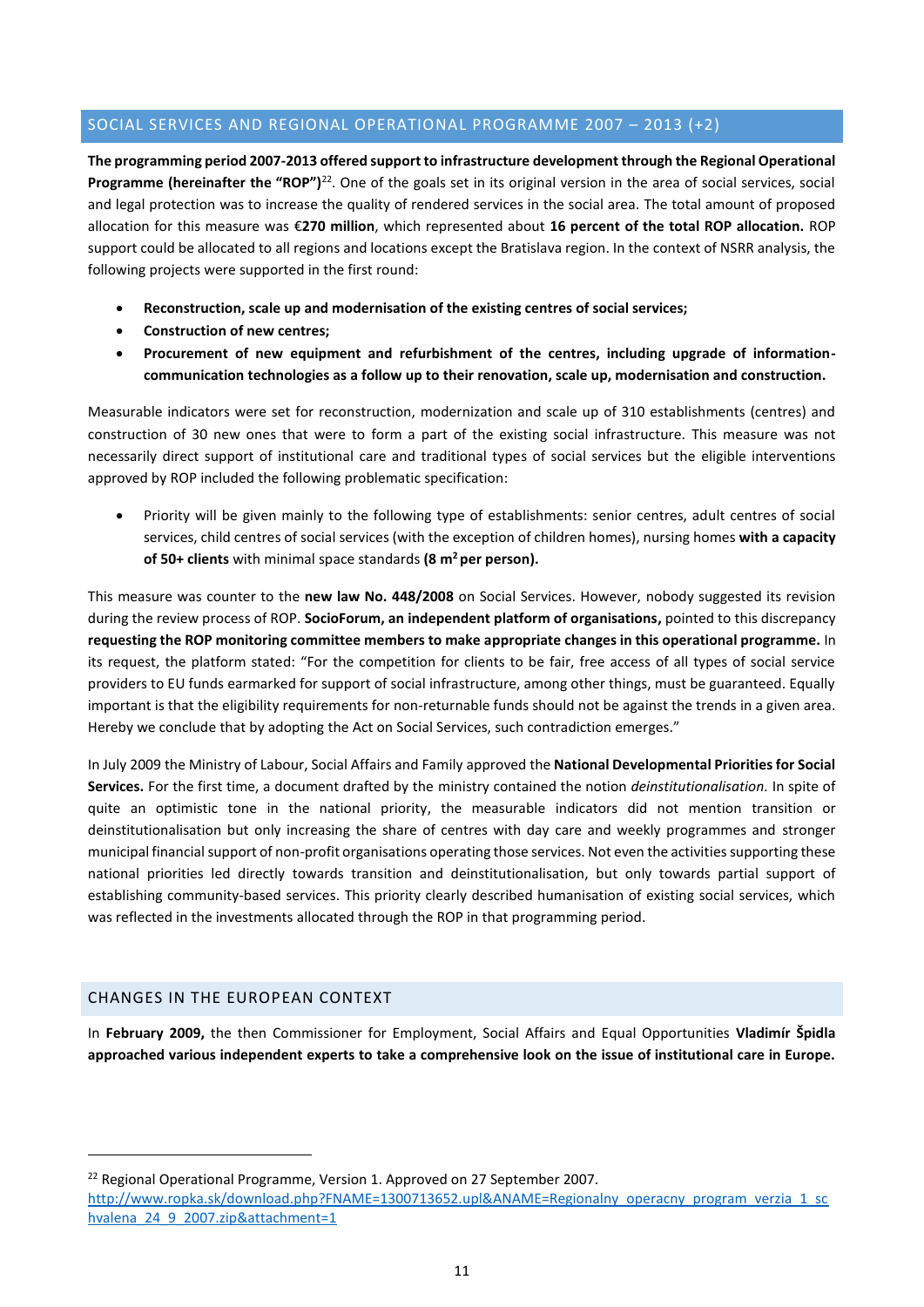## <span id="page-10-0"></span>SOCIAL SERVICES AND REGIONAL OPERATIONAL PROGRAMME 2007 – 2013 (+2)

**The programming period 2007-2013 offered support to infrastructure development through the Regional Operational**  Programme (hereinafter the "ROP")<sup>22</sup>. One of the goals set in its original version in the area of social services, social and legal protection was to increase the quality of rendered services in the social area. The total amount of proposed allocation for this measure was €**270 million**, which represented about **16 percent of the total ROP allocation.** ROP support could be allocated to all regions and locations except the Bratislava region. In the context of NSRR analysis, the following projects were supported in the first round:

- **Reconstruction, scale up and modernisation of the existing centres of social services;**
- **Construction of new centres;**
- **Procurement of new equipment and refurbishment of the centres, including upgrade of informationcommunication technologies as a follow up to their renovation, scale up, modernisation and construction.**

Measurable indicators were set for reconstruction, modernization and scale up of 310 establishments (centres) and construction of 30 new ones that were to form a part of the existing social infrastructure. This measure was not necessarily direct support of institutional care and traditional types of social services but the eligible interventions approved by ROP included the following problematic specification:

 Priority will be given mainly to the following type of establishments: senior centres, adult centres of social services, child centres of social services (with the exception of children homes), nursing homes **with a capacity of 50+ clients** with minimal space standards **(8 m<sup>2</sup>per person).**

This measure was counter to the **new law No. 448/2008** on Social Services. However, nobody suggested its revision during the review process of ROP. **SocioForum, an independent platform of organisations,** pointed to this discrepancy **requesting the ROP monitoring committee members to make appropriate changes in this operational programme.** In its request, the platform stated: "For the competition for clients to be fair, free access of all types of social service providers to EU funds earmarked for support of social infrastructure, among other things, must be guaranteed. Equally important is that the eligibility requirements for non-returnable funds should not be against the trends in a given area. Hereby we conclude that by adopting the Act on Social Services, such contradiction emerges."

In July 2009 the Ministry of Labour, Social Affairs and Family approved the **National Developmental Priorities for Social Services.** For the first time, a document drafted by the ministry contained the notion *deinstitutionalisation.* In spite of quite an optimistic tone in the national priority, the measurable indicators did not mention transition or deinstitutionalisation but only increasing the share of centres with day care and weekly programmes and stronger municipal financial support of non-profit organisations operating those services. Not even the activities supporting these national priorities led directly towards transition and deinstitutionalisation, but only towards partial support of establishing community-based services. This priority clearly described humanisation of existing social services, which was reflected in the investments allocated through the ROP in that programming period.

## <span id="page-10-1"></span>CHANGES IN THE EUROPEAN CONTEXT

1

In **February 2009,** the then Commissioner for Employment, Social Affairs and Equal Opportunities **Vladimír Špidla approached various independent experts to take a comprehensive look on the issue of institutional care in Europe.** 

<sup>22</sup> Regional Operational Programme, Version 1. Approved on 27 September 2007.

[http://www.ropka.sk/download.php?FNAME=1300713652.upl&ANAME=Regionalny\\_operacny\\_program\\_verzia\\_1\\_sc](http://www.ropka.sk/download.php?FNAME=1300713652.upl&ANAME=Regionalny_operacny_program_verzia_1_schvalena_24_9_2007.zip&attachment=1) [hvalena\\_24\\_9\\_2007.zip&attachment=1](http://www.ropka.sk/download.php?FNAME=1300713652.upl&ANAME=Regionalny_operacny_program_verzia_1_schvalena_24_9_2007.zip&attachment=1)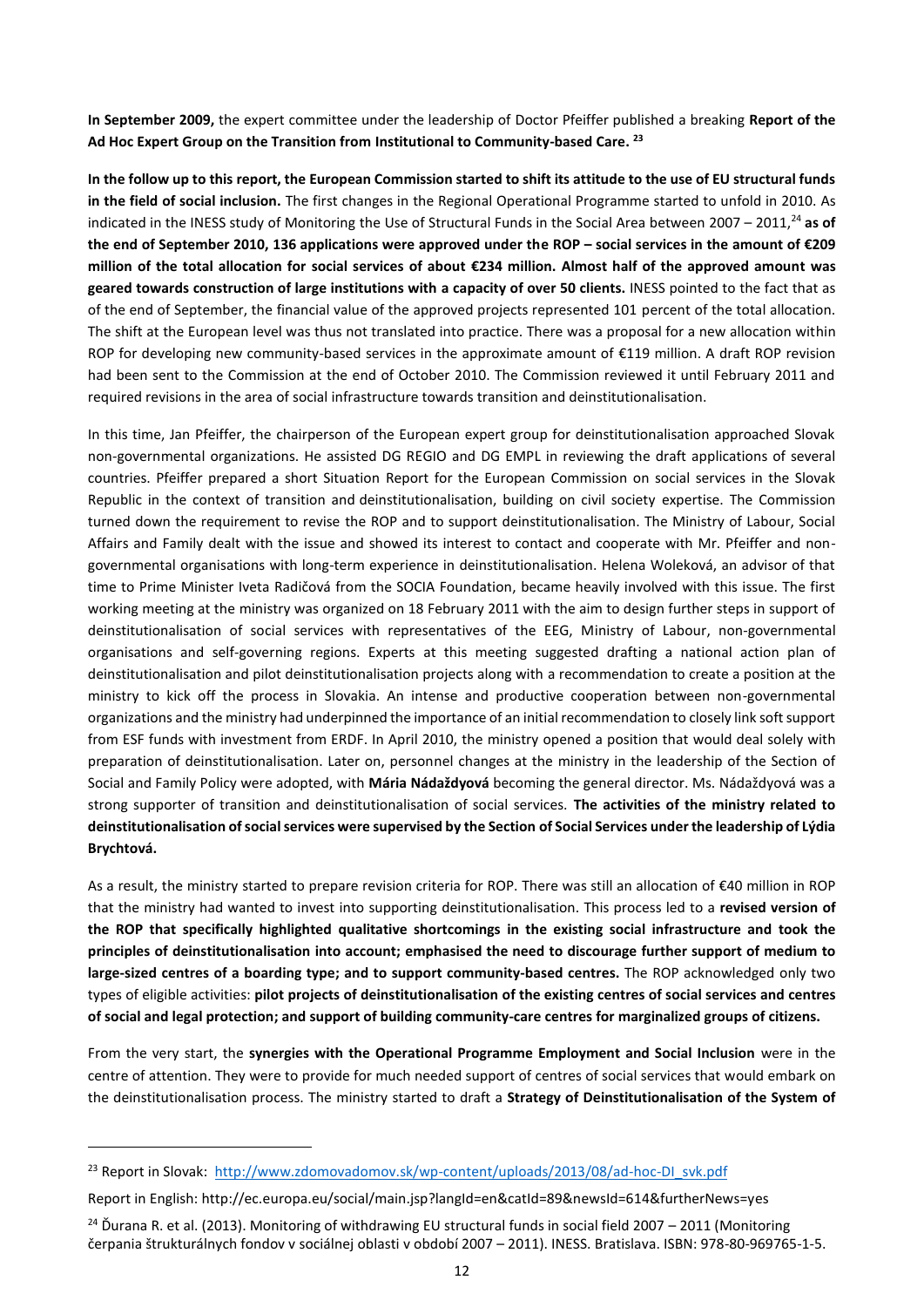**In September 2009,** the expert committee under the leadership of Doctor Pfeiffer published a breaking **Report of the Ad Hoc Expert Group on the Transition from Institutional to Community-based Care. 23**

**In the follow up to this report, the European Commission started to shift its attitude to the use of EU structural funds in the field of social inclusion.** The first changes in the Regional Operational Programme started to unfold in 2010. As indicated in the INESS study of Monitoring the Use of Structural Funds in the Social Area between 2007 – 2011,<sup>24</sup> **as of the end of September 2010, 136 applications were approved under the ROP – social services in the amount of €209 million of the total allocation for social services of about €234 million. Almost half of the approved amount was geared towards construction of large institutions with a capacity of over 50 clients.** INESS pointed to the fact that as of the end of September, the financial value of the approved projects represented 101 percent of the total allocation. The shift at the European level was thus not translated into practice. There was a proposal for a new allocation within ROP for developing new community-based services in the approximate amount of €119 million. A draft ROP revision had been sent to the Commission at the end of October 2010. The Commission reviewed it until February 2011 and required revisions in the area of social infrastructure towards transition and deinstitutionalisation.

In this time, Jan Pfeiffer, the chairperson of the European expert group for deinstitutionalisation approached Slovak non-governmental organizations. He assisted DG REGIO and DG EMPL in reviewing the draft applications of several countries. Pfeiffer prepared a short Situation Report for the European Commission on social services in the Slovak Republic in the context of transition and deinstitutionalisation, building on civil society expertise. The Commission turned down the requirement to revise the ROP and to support deinstitutionalisation. The Ministry of Labour, Social Affairs and Family dealt with the issue and showed its interest to contact and cooperate with Mr. Pfeiffer and nongovernmental organisations with long-term experience in deinstitutionalisation. Helena Woleková, an advisor of that time to Prime Minister Iveta Radičová from the SOCIA Foundation, became heavily involved with this issue. The first working meeting at the ministry was organized on 18 February 2011 with the aim to design further steps in support of deinstitutionalisation of social services with representatives of the EEG, Ministry of Labour, non-governmental organisations and self-governing regions. Experts at this meeting suggested drafting a national action plan of deinstitutionalisation and pilot deinstitutionalisation projects along with a recommendation to create a position at the ministry to kick off the process in Slovakia. An intense and productive cooperation between non-governmental organizations and the ministry had underpinned the importance of an initial recommendation to closely link soft support from ESF funds with investment from ERDF. In April 2010, the ministry opened a position that would deal solely with preparation of deinstitutionalisation. Later on, personnel changes at the ministry in the leadership of the Section of Social and Family Policy were adopted, with **Mária Nádaždyová** becoming the general director. Ms. Nádaždyová was a strong supporter of transition and deinstitutionalisation of social services. **The activities of the ministry related to deinstitutionalisation of social services were supervised by the Section of Social Services under the leadership of Lýdia Brychtová.** 

As a result, the ministry started to prepare revision criteria for ROP. There was still an allocation of €40 million in ROP that the ministry had wanted to invest into supporting deinstitutionalisation. This process led to a **revised version of the ROP that specifically highlighted qualitative shortcomings in the existing social infrastructure and took the principles of deinstitutionalisation into account; emphasised the need to discourage further support of medium to large-sized centres of a boarding type; and to support community-based centres.** The ROP acknowledged only two types of eligible activities: **pilot projects of deinstitutionalisation of the existing centres of social services and centres of social and legal protection; and support of building community-care centres for marginalized groups of citizens.** 

From the very start, the **synergies with the Operational Programme Employment and Social Inclusion** were in the centre of attention. They were to provide for much needed support of centres of social services that would embark on the deinstitutionalisation process. The ministry started to draft a **Strategy of Deinstitutionalisation of the System of** 

<sup>&</sup>lt;sup>23</sup> Report in Slovak: [http://www.zdomovadomov.sk/wp-content/uploads/2013/08/ad-hoc-DI\\_svk.pdf](http://www.zdomovadomov.sk/wp-content/uploads/2013/08/ad-hoc-DI_svk.pdf)

Report in English: http://ec.europa.eu/social/main.jsp?langId=en&catId=89&newsId=614&furtherNews=yes

<sup>&</sup>lt;sup>24</sup> Durana R. et al. (2013). Monitoring of withdrawing EU structural funds in social field 2007 – 2011 (Monitoring čerpania štrukturálnych fondov v sociálnej oblasti v období 2007 – 2011). INESS. Bratislava. ISBN: 978-80-969765-1-5.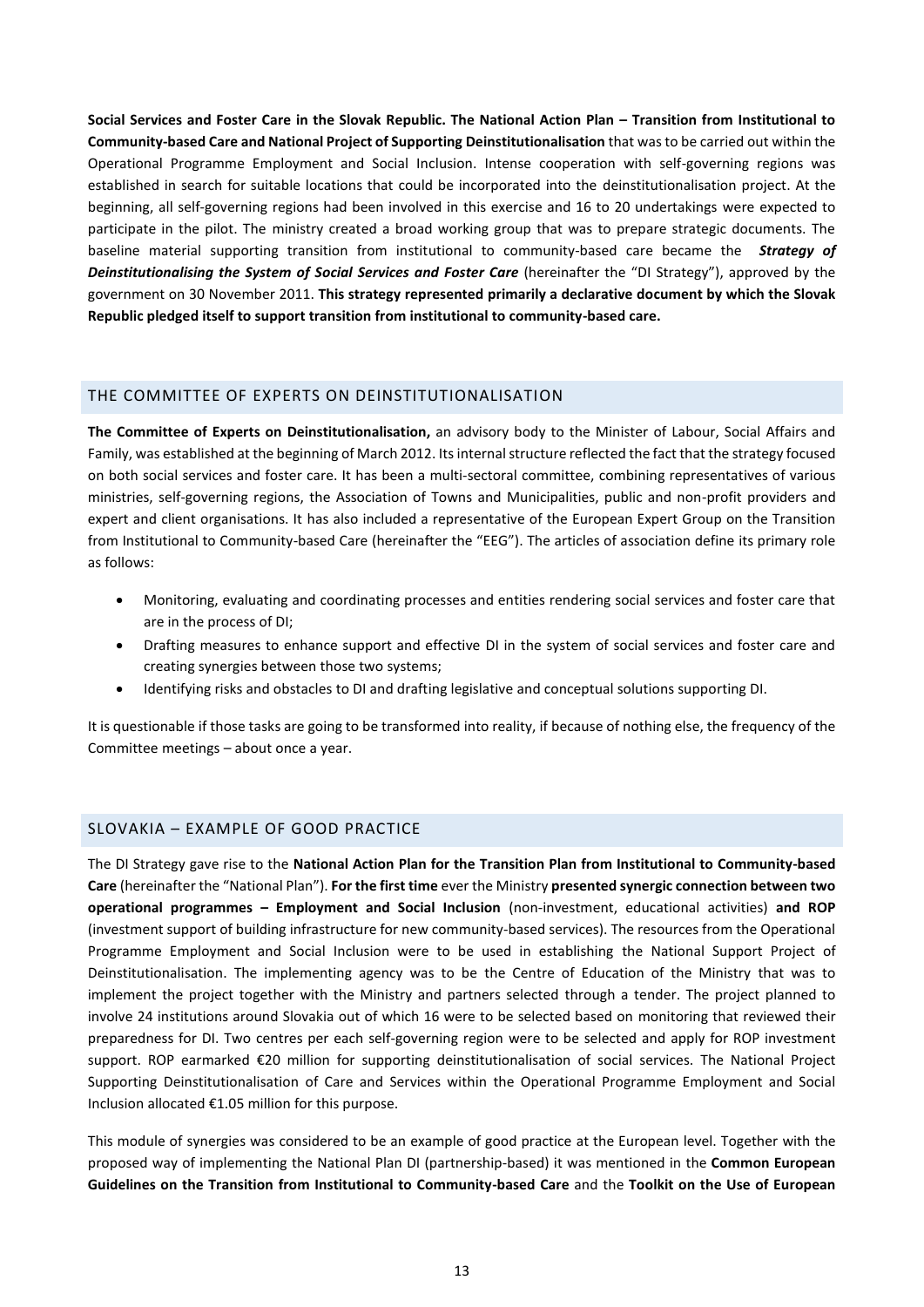**Social Services and Foster Care in the Slovak Republic. The National Action Plan – Transition from Institutional to Community-based Care and National Project of Supporting Deinstitutionalisation** that was to be carried out within the Operational Programme Employment and Social Inclusion. Intense cooperation with self-governing regions was established in search for suitable locations that could be incorporated into the deinstitutionalisation project. At the beginning, all self-governing regions had been involved in this exercise and 16 to 20 undertakings were expected to participate in the pilot. The ministry created a broad working group that was to prepare strategic documents. The baseline material supporting transition from institutional to community-based care became the *Strategy of Deinstitutionalising the System of Social Services and Foster Care* (hereinafter the "DI Strategy"), approved by the government on 30 November 2011. **This strategy represented primarily a declarative document by which the Slovak Republic pledged itself to support transition from institutional to community-based care.** 

## <span id="page-12-0"></span>THE COMMITTEE OF EXPERTS ON DEINSTITUTIONALISATION

**The Committee of Experts on Deinstitutionalisation,** an advisory body to the Minister of Labour, Social Affairs and Family, was established at the beginning of March 2012. Its internal structure reflected the fact that the strategy focused on both social services and foster care. It has been a multi-sectoral committee, combining representatives of various ministries, self-governing regions, the Association of Towns and Municipalities, public and non-profit providers and expert and client organisations. It has also included a representative of the European Expert Group on the Transition from Institutional to Community-based Care (hereinafter the "EEG"). The articles of association define its primary role as follows:

- Monitoring, evaluating and coordinating processes and entities rendering social services and foster care that are in the process of DI;
- Drafting measures to enhance support and effective DI in the system of social services and foster care and creating synergies between those two systems;
- Identifying risks and obstacles to DI and drafting legislative and conceptual solutions supporting DI.

It is questionable if those tasks are going to be transformed into reality, if because of nothing else, the frequency of the Committee meetings – about once a year.

#### <span id="page-12-1"></span>SLOVAKIA – EXAMPLE OF GOOD PRACTICE

The DI Strategy gave rise to the **National Action Plan for the Transition Plan from Institutional to Community-based Care** (hereinafter the "National Plan"). **For the first time** ever the Ministry **presented synergic connection between two operational programmes – Employment and Social Inclusion** (non-investment, educational activities) **and ROP** (investment support of building infrastructure for new community-based services). The resources from the Operational Programme Employment and Social Inclusion were to be used in establishing the National Support Project of Deinstitutionalisation. The implementing agency was to be the Centre of Education of the Ministry that was to implement the project together with the Ministry and partners selected through a tender. The project planned to involve 24 institutions around Slovakia out of which 16 were to be selected based on monitoring that reviewed their preparedness for DI. Two centres per each self-governing region were to be selected and apply for ROP investment support. ROP earmarked €20 million for supporting deinstitutionalisation of social services. The National Project Supporting Deinstitutionalisation of Care and Services within the Operational Programme Employment and Social Inclusion allocated €1.05 million for this purpose.

This module of synergies was considered to be an example of good practice at the European level. Together with the proposed way of implementing the National Plan DI (partnership-based) it was mentioned in the **Common European Guidelines on the Transition from Institutional to Community-based Care** and the **Toolkit on the Use of European**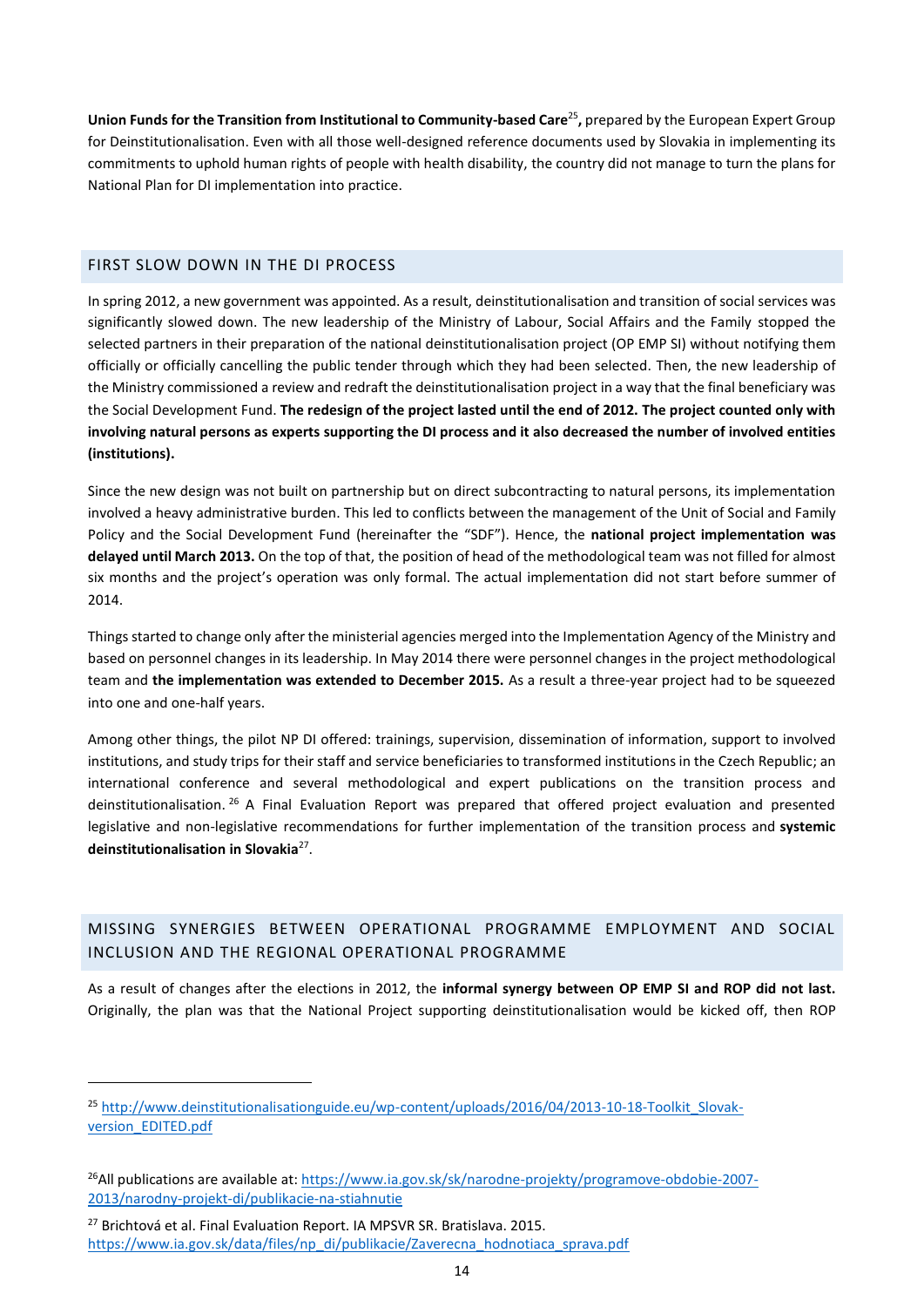Union Funds for the Transition from Institutional to Community-based Care<sup>25</sup>, prepared by the European Expert Group for Deinstitutionalisation. Even with all those well-designed reference documents used by Slovakia in implementing its commitments to uphold human rights of people with health disability, the country did not manage to turn the plans for National Plan for DI implementation into practice.

## <span id="page-13-0"></span>FIRST SLOW DOWN IN THE DI PROCESS

In spring 2012, a new government was appointed. As a result, deinstitutionalisation and transition of social services was significantly slowed down. The new leadership of the Ministry of Labour, Social Affairs and the Family stopped the selected partners in their preparation of the national deinstitutionalisation project (OP EMP SI) without notifying them officially or officially cancelling the public tender through which they had been selected. Then, the new leadership of the Ministry commissioned a review and redraft the deinstitutionalisation project in a way that the final beneficiary was the Social Development Fund. **The redesign of the project lasted until the end of 2012. The project counted only with involving natural persons as experts supporting the DI process and it also decreased the number of involved entities (institutions).**

Since the new design was not built on partnership but on direct subcontracting to natural persons, its implementation involved a heavy administrative burden. This led to conflicts between the management of the Unit of Social and Family Policy and the Social Development Fund (hereinafter the "SDF"). Hence, the **national project implementation was delayed until March 2013.** On the top of that, the position of head of the methodological team was not filled for almost six months and the project's operation was only formal. The actual implementation did not start before summer of 2014.

Things started to change only after the ministerial agencies merged into the Implementation Agency of the Ministry and based on personnel changes in its leadership. In May 2014 there were personnel changes in the project methodological team and **the implementation was extended to December 2015.** As a result a three-year project had to be squeezed into one and one-half years.

Among other things, the pilot NP DI offered: trainings, supervision, dissemination of information, support to involved institutions, and study trips for their staff and service beneficiaries to transformed institutions in the Czech Republic; an international conference and several methodological and expert publications on the transition process and deinstitutionalisation. <sup>26</sup> A Final Evaluation Report was prepared that offered project evaluation and presented legislative and non-legislative recommendations for further implementation of the transition process and **systemic deinstitutionalisation in Slovakia**<sup>27</sup> .

## <span id="page-13-1"></span>MISSING SYNERGIES BETWEEN OPERATIONAL PROGRAMME EMPLOYMENT AND SOCIAL INCLUSION AND THE REGIONAL OPERATIONAL PROGRAMME

As a result of changes after the elections in 2012, the **informal synergy between OP EMP SI and ROP did not last.**  Originally, the plan was that the National Project supporting deinstitutionalisation would be kicked off, then ROP

<sup>&</sup>lt;sup>25</sup> [http://www.deinstitutionalisationguide.eu/wp-content/uploads/2016/04/2013-10-18-Toolkit\\_Slovak](http://www.deinstitutionalisationguide.eu/wp-content/uploads/2016/04/2013-10-18-Toolkit_Slovak-version_EDITED.pdf)[version\\_EDITED.pdf](http://www.deinstitutionalisationguide.eu/wp-content/uploads/2016/04/2013-10-18-Toolkit_Slovak-version_EDITED.pdf)

<sup>26</sup>All publications are available at[: https://www.ia.gov.sk/sk/narodne-projekty/programove-obdobie-2007-](https://www.ia.gov.sk/sk/narodne-projekty/programove-obdobie-2007-2013/narodny-projekt-di/publikacie-na-stiahnutie) [2013/narodny-projekt-di/publikacie-na-stiahnutie](https://www.ia.gov.sk/sk/narodne-projekty/programove-obdobie-2007-2013/narodny-projekt-di/publikacie-na-stiahnutie)

<sup>&</sup>lt;sup>27</sup> Brichtová et al. Final Evaluation Report. IA MPSVR SR. Bratislava. 2015. [https://www.ia.gov.sk/data/files/np\\_di/publikacie/Zaverecna\\_hodnotiaca\\_sprava.pdf](https://www.ia.gov.sk/data/files/np_di/publikacie/Zaverecna_hodnotiaca_sprava.pdf)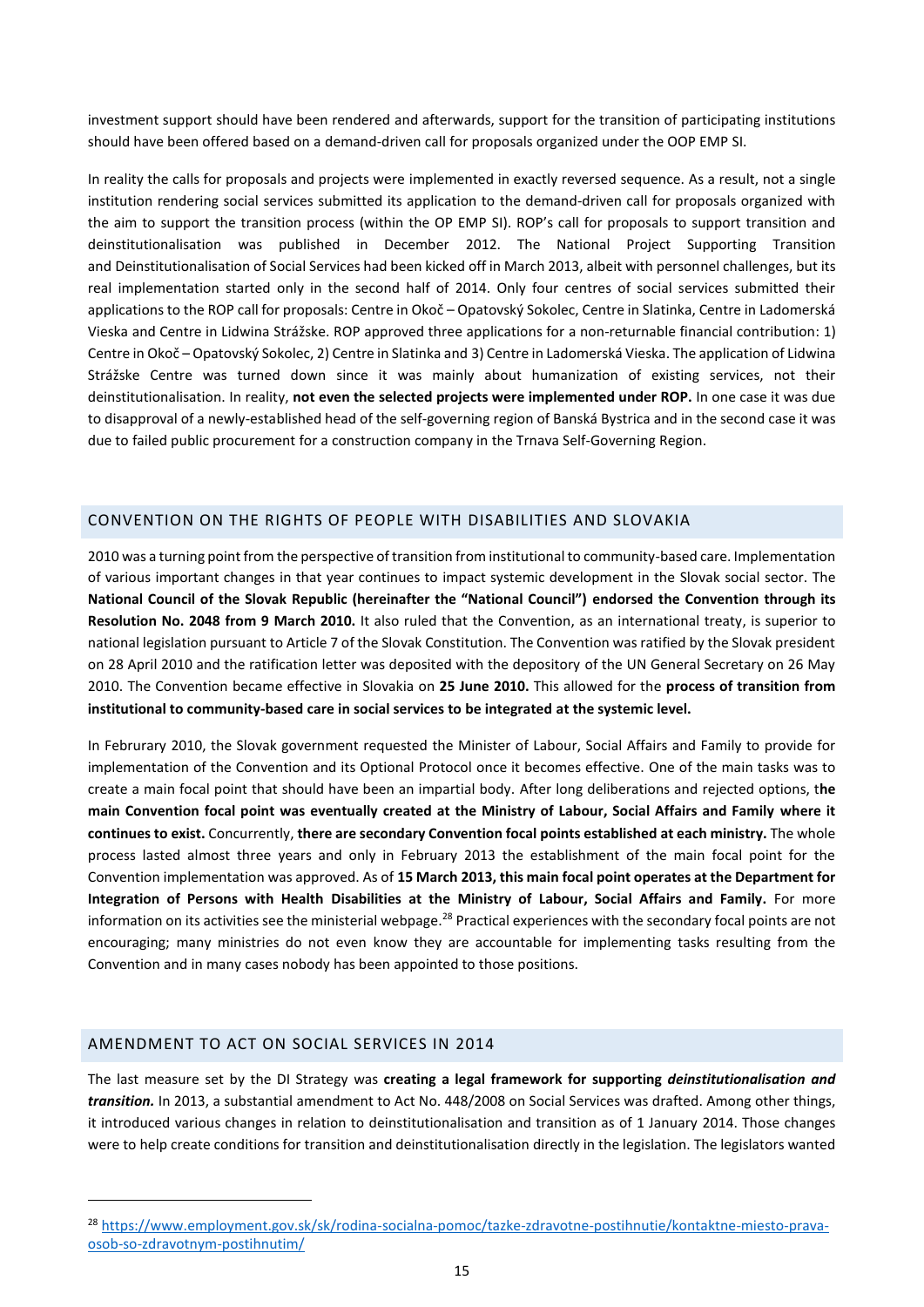investment support should have been rendered and afterwards, support for the transition of participating institutions should have been offered based on a demand-driven call for proposals organized under the OOP EMP SI.

In reality the calls for proposals and projects were implemented in exactly reversed sequence. As a result, not a single institution rendering social services submitted its application to the demand-driven call for proposals organized with the aim to support the transition process (within the OP EMP SI). ROP's call for proposals to support transition and deinstitutionalisation was published in December 2012. The National Project Supporting Transition and Deinstitutionalisation of Social Services had been kicked off in March 2013, albeit with personnel challenges, but its real implementation started only in the second half of 2014. Only four centres of social services submitted their applications to the ROP call for proposals: Centre in Okoč – Opatovský Sokolec, Centre in Slatinka, Centre in Ladomerská Vieska and Centre in Lidwina Strážske. ROP approved three applications for a non-returnable financial contribution: 1) Centre in Okoč – Opatovský Sokolec, 2) Centre in Slatinka and 3) Centre in Ladomerská Vieska. The application of Lidwina Strážske Centre was turned down since it was mainly about humanization of existing services, not their deinstitutionalisation. In reality, **not even the selected projects were implemented under ROP.** In one case it was due to disapproval of a newly-established head of the self-governing region of Banská Bystrica and in the second case it was due to failed public procurement for a construction company in the Trnava Self-Governing Region.

## <span id="page-14-0"></span>CONVENTION ON THE RIGHTS OF PEOPLE WITH DISABILITIES AND SLOVAKIA

2010 was a turning point from the perspective of transition from institutional to community-based care. Implementation of various important changes in that year continues to impact systemic development in the Slovak social sector. The **National Council of the Slovak Republic (hereinafter the "National Council") endorsed the Convention through its Resolution No. 2048 from 9 March 2010.** It also ruled that the Convention, as an international treaty, is superior to national legislation pursuant to Article 7 of the Slovak Constitution. The Convention was ratified by the Slovak president on 28 April 2010 and the ratification letter was deposited with the depository of the UN General Secretary on 26 May 2010. The Convention became effective in Slovakia on **25 June 2010.** This allowed for the **process of transition from institutional to community-based care in social services to be integrated at the systemic level.**

In Februrary 2010, the Slovak government requested the Minister of Labour, Social Affairs and Family to provide for implementation of the Convention and its Optional Protocol once it becomes effective. One of the main tasks was to create a main focal point that should have been an impartial body. After long deliberations and rejected options, t**he main Convention focal point was eventually created at the Ministry of Labour, Social Affairs and Family where it continues to exist.** Concurrently, **there are secondary Convention focal points established at each ministry.** The whole process lasted almost three years and only in February 2013 the establishment of the main focal point for the Convention implementation was approved. As of **15 March 2013, this main focal point operates at the Department for Integration of Persons with Health Disabilities at the Ministry of Labour, Social Affairs and Family.** For more information on its activities see the ministerial webpage.<sup>28</sup> Practical experiences with the secondary focal points are not encouraging; many ministries do not even know they are accountable for implementing tasks resulting from the Convention and in many cases nobody has been appointed to those positions.

## <span id="page-14-1"></span>AMENDMENT TO ACT ON SOCIAL SERVICES IN 2014

1

The last measure set by the DI Strategy was **creating a legal framework for supporting** *deinstitutionalisation and transition.* In 2013, a substantial amendment to Act No. 448/2008 on Social Services was drafted. Among other things, it introduced various changes in relation to deinstitutionalisation and transition as of 1 January 2014. Those changes were to help create conditions for transition and deinstitutionalisation directly in the legislation. The legislators wanted

<sup>&</sup>lt;sup>28</sup> [https://www.employment.gov.sk/sk/rodina-socialna-pomoc/tazke-zdravotne-postihnutie/kontaktne-miesto-prava](https://www.employment.gov.sk/sk/rodina-socialna-pomoc/tazke-zdravotne-postihnutie/kontaktne-miesto-prava-osob-so-zdravotnym-postihnutim/)[osob-so-zdravotnym-postihnutim/](https://www.employment.gov.sk/sk/rodina-socialna-pomoc/tazke-zdravotne-postihnutie/kontaktne-miesto-prava-osob-so-zdravotnym-postihnutim/)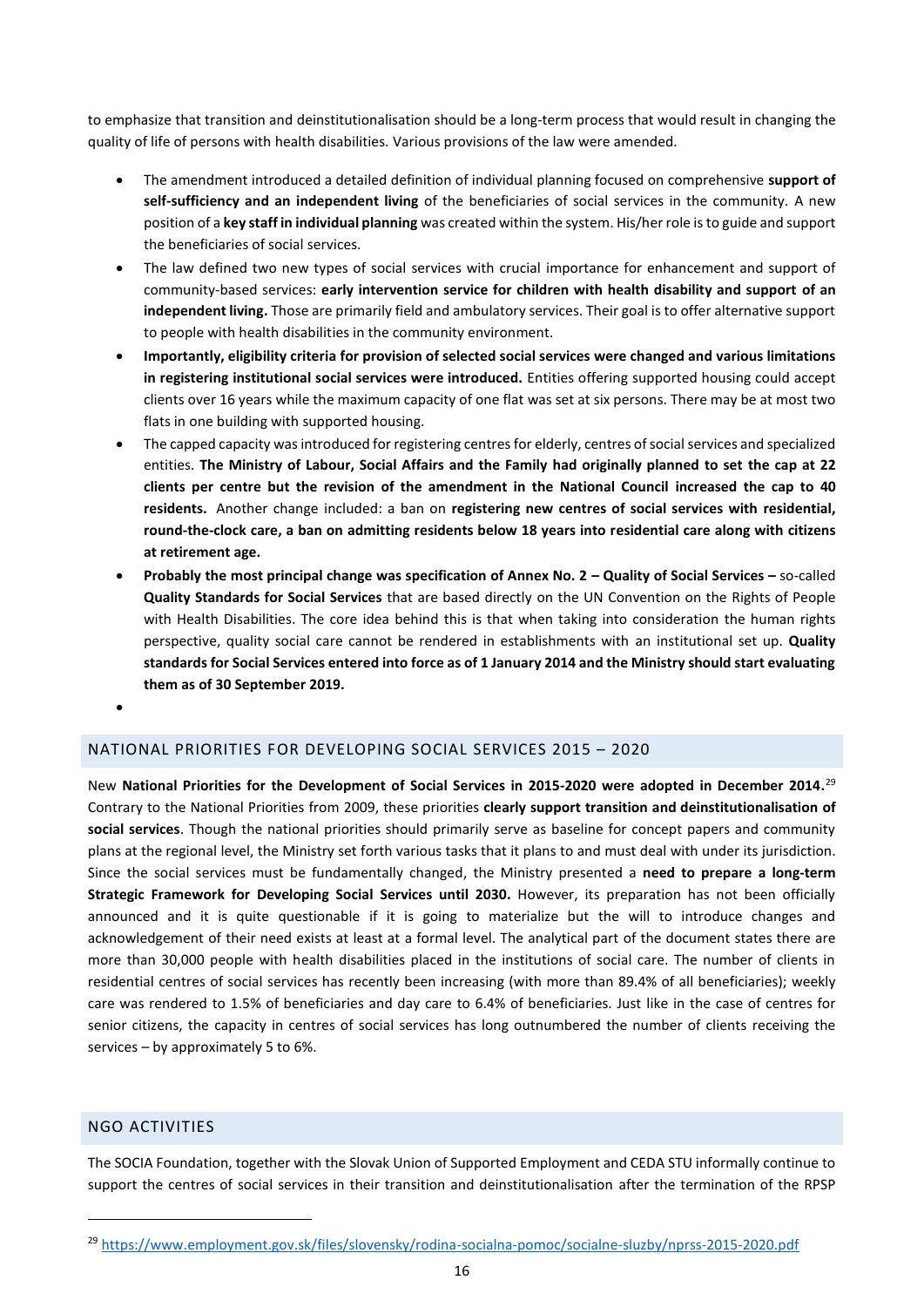to emphasize that transition and deinstitutionalisation should be a long-term process that would result in changing the quality of life of persons with health disabilities. Various provisions of the law were amended.

- The amendment introduced a detailed definition of individual planning focused on comprehensive **support of self-sufficiency and an independent living** of the beneficiaries of social services in the community. A new position of a **key staff in individual planning** was created within the system. His/her role is to guide and support the beneficiaries of social services.
- The law defined two new types of social services with crucial importance for enhancement and support of community-based services: **early intervention service for children with health disability and support of an independent living.** Those are primarily field and ambulatory services. Their goal is to offer alternative support to people with health disabilities in the community environment.
- **Importantly, eligibility criteria for provision of selected social services were changed and various limitations in registering institutional social services were introduced.** Entities offering supported housing could accept clients over 16 years while the maximum capacity of one flat was set at six persons. There may be at most two flats in one building with supported housing.
- The capped capacity was introduced for registering centres for elderly, centres of social services and specialized entities. **The Ministry of Labour, Social Affairs and the Family had originally planned to set the cap at 22 clients per centre but the revision of the amendment in the National Council increased the cap to 40 residents.** Another change included: a ban on **registering new centres of social services with residential, round-the-clock care, a ban on admitting residents below 18 years into residential care along with citizens at retirement age.**
- **Probably the most principal change was specification of Annex No. 2 – Quality of Social Services –** so-called **Quality Standards for Social Services** that are based directly on the UN Convention on the Rights of People with Health Disabilities. The core idea behind this is that when taking into consideration the human rights perspective, quality social care cannot be rendered in establishments with an institutional set up. **Quality standards for Social Services entered into force as of 1 January 2014 and the Ministry should start evaluating them as of 30 September 2019.**
- $\bullet$

## <span id="page-15-0"></span>NATIONAL PRIORITIES FOR DEVELOPING SOCIAL SERVICES 2015 – 2020

New **National Priorities for the Development of Social Services in 2015-2020 were adopted in December 2014.** 29 Contrary to the National Priorities from 2009, these priorities **clearly support transition and deinstitutionalisation of social services**. Though the national priorities should primarily serve as baseline for concept papers and community plans at the regional level, the Ministry set forth various tasks that it plans to and must deal with under its jurisdiction. Since the social services must be fundamentally changed, the Ministry presented a **need to prepare a long-term Strategic Framework for Developing Social Services until 2030.** However, its preparation has not been officially announced and it is quite questionable if it is going to materialize but the will to introduce changes and acknowledgement of their need exists at least at a formal level. The analytical part of the document states there are more than 30,000 people with health disabilities placed in the institutions of social care. The number of clients in residential centres of social services has recently been increasing (with more than 89.4% of all beneficiaries); weekly care was rendered to 1.5% of beneficiaries and day care to 6.4% of beneficiaries. Just like in the case of centres for senior citizens, the capacity in centres of social services has long outnumbered the number of clients receiving the services – by approximately 5 to 6%.

#### <span id="page-15-1"></span>NGO ACTIVITIES

1

The SOCIA Foundation, together with the Slovak Union of Supported Employment and CEDA STU informally continue to support the centres of social services in their transition and deinstitutionalisation after the termination of the RPSP

<sup>29</sup> <https://www.employment.gov.sk/files/slovensky/rodina-socialna-pomoc/socialne-sluzby/nprss-2015-2020.pdf>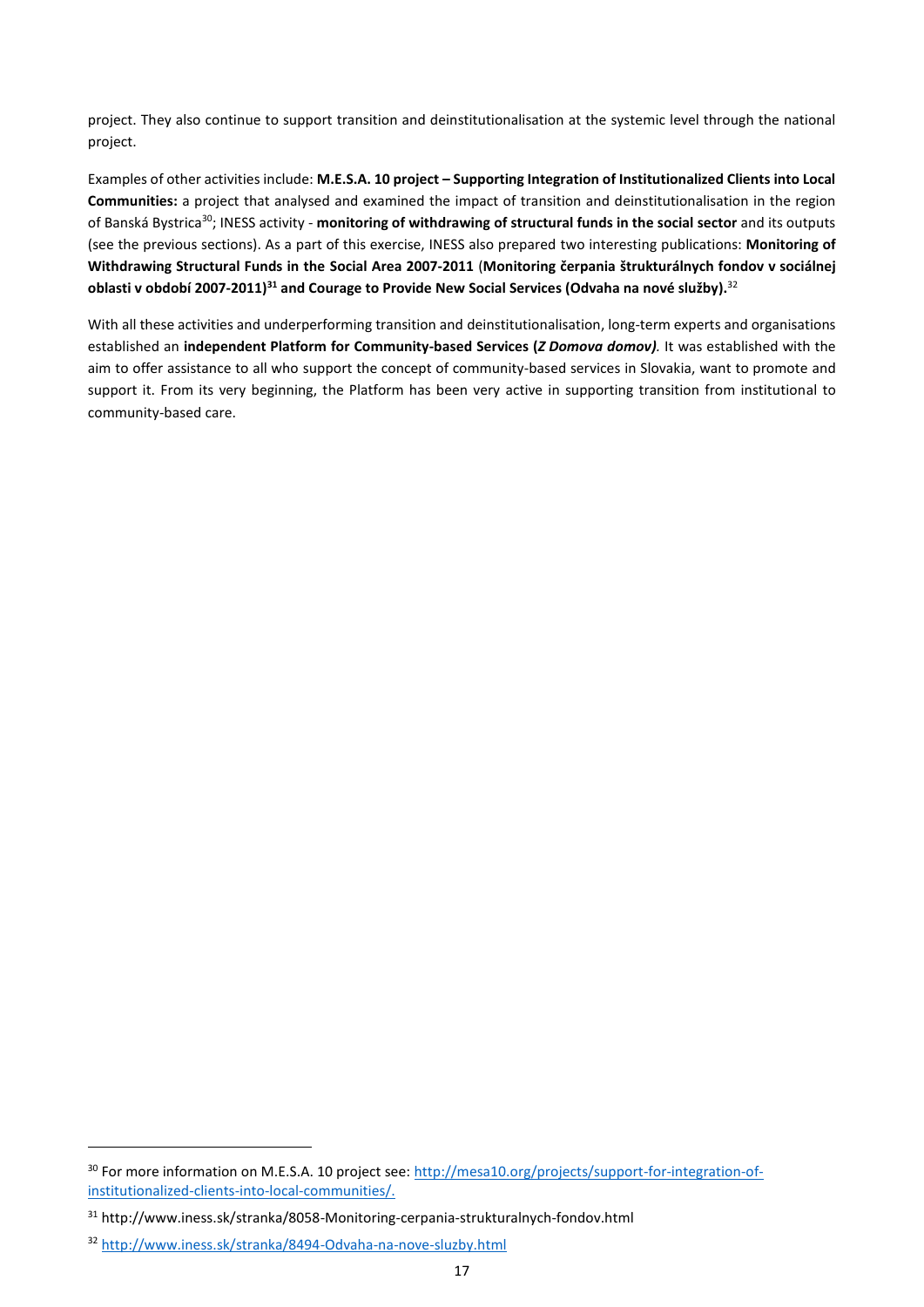project. They also continue to support transition and deinstitutionalisation at the systemic level through the national project.

Examples of other activities include: **M.E.S.A. 10 project – Supporting Integration of Institutionalized Clients into Local Communities:** a project that analysed and examined the impact of transition and deinstitutionalisation in the region of Banská Bystrica<sup>30</sup>; INESS activity - **monitoring of withdrawing of structural funds in the social sector** and its outputs (see the previous sections). As a part of this exercise, INESS also prepared two interesting publications: **Monitoring of Withdrawing Structural Funds in the Social Area 2007-2011** (**Monitoring čerpania štrukturálnych fondov v sociálnej oblasti v období 2007-2011) <sup>31</sup> and Courage to Provide New Social Services (Odvaha na nové služby).** 32

With all these activities and underperforming transition and deinstitutionalisation, long-term experts and organisations established an **independent Platform for Community-based Services (***Z Domova domov).* It was established with the aim to offer assistance to all who support the concept of community-based services in Slovakia, want to promote and support it. From its very beginning, the Platform has been very active in supporting transition from institutional to community-based care.

<sup>30</sup> For more information on M.E.S.A. 10 project see: [http://mesa10.org/projects/support-for-integration-of](http://mesa10.org/projects/support-for-integration-of-institutionalized-clients-into-local-communities/)[institutionalized-clients-into-local-communities/.](http://mesa10.org/projects/support-for-integration-of-institutionalized-clients-into-local-communities/)

<sup>31</sup> http://www.iness.sk/stranka/8058-Monitoring-cerpania-strukturalnych-fondov.html

<sup>32</sup> <http://www.iness.sk/stranka/8494-Odvaha-na-nove-sluzby.html>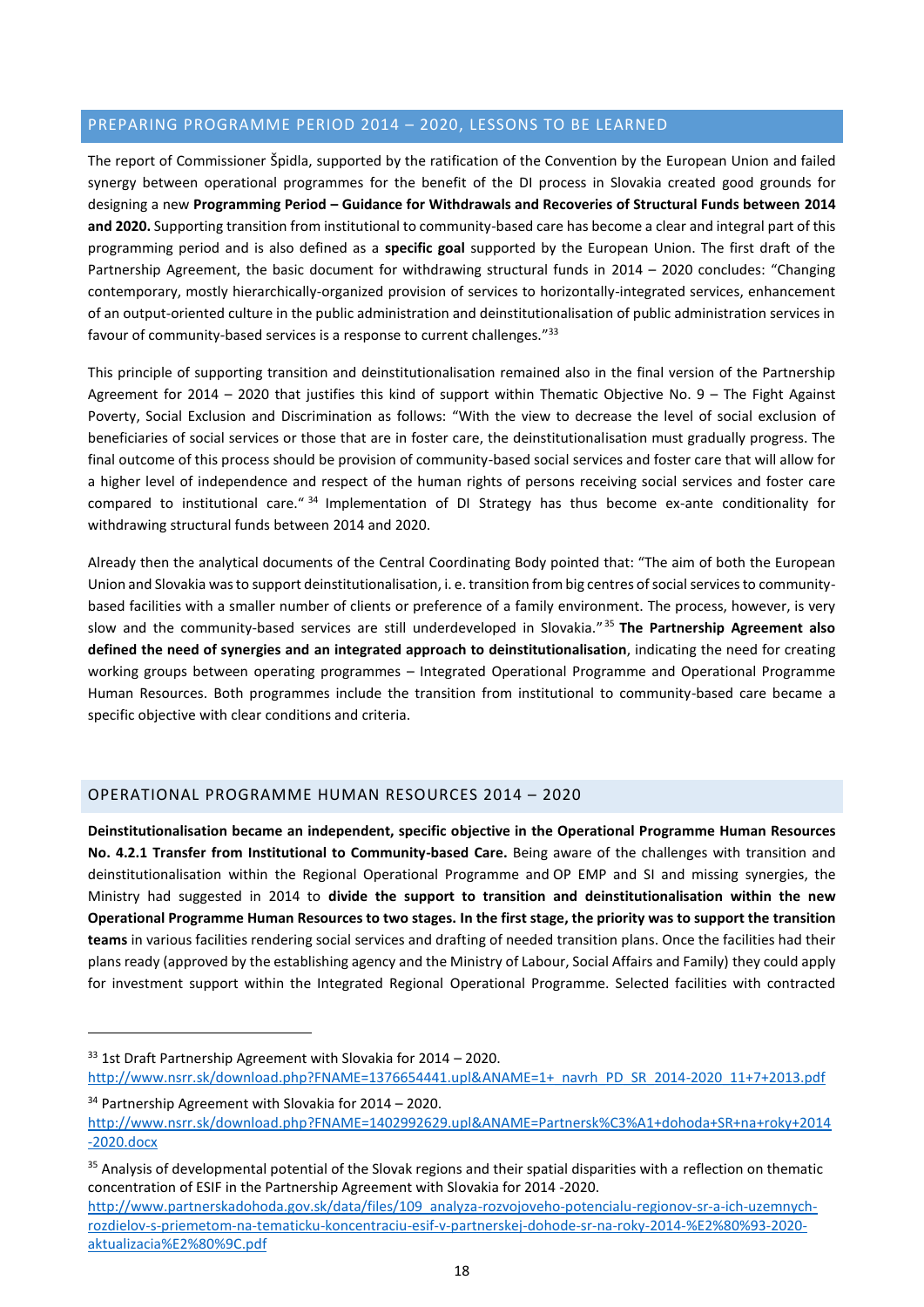## <span id="page-17-0"></span>PREPARING PROGRAMME PERIOD 2014 – 2020, LESSONS TO BE LEARNED

The report of Commissioner Špidla, supported by the ratification of the Convention by the European Union and failed synergy between operational programmes for the benefit of the DI process in Slovakia created good grounds for designing a new **Programming Period – Guidance for Withdrawals and Recoveries of Structural Funds between 2014 and 2020.** Supporting transition from institutional to community-based care has become a clear and integral part of this programming period and is also defined as a **specific goal** supported by the European Union. The first draft of the Partnership Agreement, the basic document for withdrawing structural funds in 2014 – 2020 concludes: "Changing contemporary, mostly hierarchically-organized provision of services to horizontally-integrated services, enhancement of an output-oriented culture in the public administration and deinstitutionalisation of public administration services in favour of community-based services is a response to current challenges."<sup>33</sup>

This principle of supporting transition and deinstitutionalisation remained also in the final version of the Partnership Agreement for 2014 – 2020 that justifies this kind of support within Thematic Objective No. 9 – The Fight Against Poverty, Social Exclusion and Discrimination as follows: "With the view to decrease the level of social exclusion of beneficiaries of social services or those that are in foster care, the deinstitutionalisation must gradually progress. The final outcome of this process should be provision of community-based social services and foster care that will allow for a higher level of independence and respect of the human rights of persons receiving social services and foster care compared to institutional care." <sup>34</sup> Implementation of DI Strategy has thus become ex-ante conditionality for withdrawing structural funds between 2014 and 2020.

Already then the analytical documents of the Central Coordinating Body pointed that: "The aim of both the European Union and Slovakia was to support deinstitutionalisation, i. e. transition from big centres of social services to communitybased facilities with a smaller number of clients or preference of a family environment. The process, however, is very slow and the community-based services are still underdeveloped in Slovakia." <sup>35</sup> **The Partnership Agreement also defined the need of synergies and an integrated approach to deinstitutionalisation**, indicating the need for creating working groups between operating programmes – Integrated Operational Programme and Operational Programme Human Resources. Both programmes include the transition from institutional to community-based care became a specific objective with clear conditions and criteria.

## <span id="page-17-1"></span>OPERATIONAL PROGRAMME HUMAN RESOURCES 2014 – 2020

**Deinstitutionalisation became an independent, specific objective in the Operational Programme Human Resources No. 4.2.1 Transfer from Institutional to Community-based Care.** Being aware of the challenges with transition and deinstitutionalisation within the Regional Operational Programme and OP EMP and SI and missing synergies, the Ministry had suggested in 2014 to **divide the support to transition and deinstitutionalisation within the new Operational Programme Human Resources to two stages. In the first stage, the priority was to support the transition teams** in various facilities rendering social services and drafting of needed transition plans. Once the facilities had their plans ready (approved by the establishing agency and the Ministry of Labour, Social Affairs and Family) they could apply for investment support within the Integrated Regional Operational Programme. Selected facilities with contracted

<sup>34</sup> Partnership Agreement with Slovakia for 2014 – 2020.

 $33$  1st Draft Partnership Agreement with Slovakia for 2014 – 2020. [http://www.nsrr.sk/download.php?FNAME=1376654441.upl&ANAME=1+\\_navrh\\_PD\\_SR\\_2014-2020\\_11+7+2013.pdf](http://www.nsrr.sk/download.php?FNAME=1376654441.upl&ANAME=1+_navrh_PD_SR_2014-2020_11+7+2013.pdf)

[http://www.nsrr.sk/download.php?FNAME=1402992629.upl&ANAME=Partnersk%C3%A1+dohoda+SR+na+roky+2014](http://www.nsrr.sk/download.php?FNAME=1402992629.upl&ANAME=Partnersk%C3%A1+dohoda+SR+na+roky+2014-2020.docx) [-2020.docx](http://www.nsrr.sk/download.php?FNAME=1402992629.upl&ANAME=Partnersk%C3%A1+dohoda+SR+na+roky+2014-2020.docx)

<sup>&</sup>lt;sup>35</sup> Analysis of developmental potential of the Slovak regions and their spatial disparities with a reflection on thematic concentration of ESIF in the Partnership Agreement with Slovakia for 2014 -2020.

[http://www.partnerskadohoda.gov.sk/data/files/109\\_analyza-rozvojoveho-potencialu-regionov-sr-a-ich-uzemnych](http://www.partnerskadohoda.gov.sk/data/files/109_analyza-rozvojoveho-potencialu-regionov-sr-a-ich-uzemnych-rozdielov-s-priemetom-na-tematicku-koncentraciu-esif-v-partnerskej-dohode-sr-na-roky-2014-%E2%80%93-2020-aktualizacia%E2%80%9C.pdf)[rozdielov-s-priemetom-na-tematicku-koncentraciu-esif-v-partnerskej-dohode-sr-na-roky-2014-%E2%80%93-2020](http://www.partnerskadohoda.gov.sk/data/files/109_analyza-rozvojoveho-potencialu-regionov-sr-a-ich-uzemnych-rozdielov-s-priemetom-na-tematicku-koncentraciu-esif-v-partnerskej-dohode-sr-na-roky-2014-%E2%80%93-2020-aktualizacia%E2%80%9C.pdf) [aktualizacia%E2%80%9C.pdf](http://www.partnerskadohoda.gov.sk/data/files/109_analyza-rozvojoveho-potencialu-regionov-sr-a-ich-uzemnych-rozdielov-s-priemetom-na-tematicku-koncentraciu-esif-v-partnerskej-dohode-sr-na-roky-2014-%E2%80%93-2020-aktualizacia%E2%80%9C.pdf)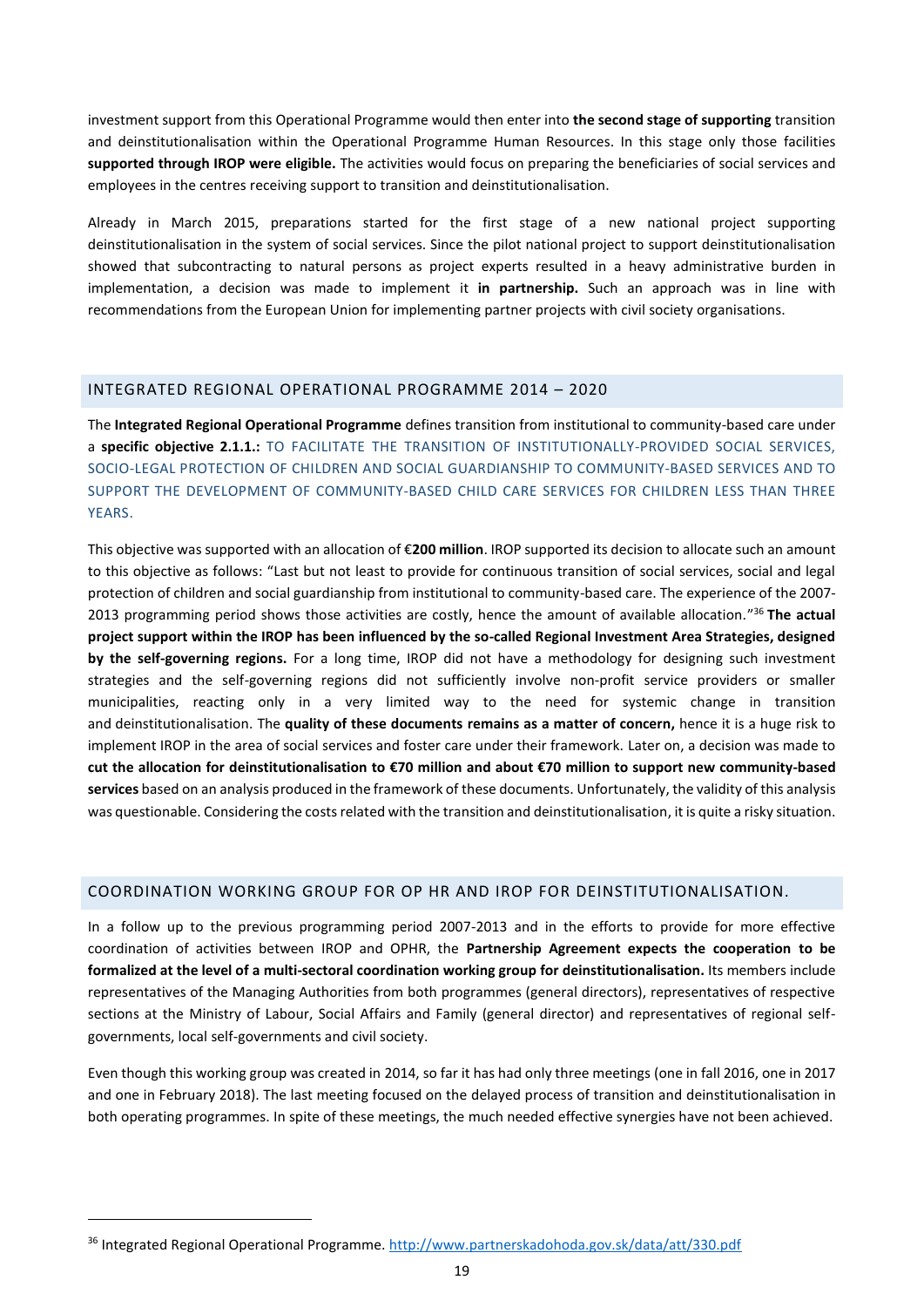investment support from this Operational Programme would then enter into **the second stage of supporting** transition and deinstitutionalisation within the Operational Programme Human Resources. In this stage only those facilities **supported through IROP were eligible.** The activities would focus on preparing the beneficiaries of social services and employees in the centres receiving support to transition and deinstitutionalisation.

Already in March 2015, preparations started for the first stage of a new national project supporting deinstitutionalisation in the system of social services. Since the pilot national project to support deinstitutionalisation showed that subcontracting to natural persons as project experts resulted in a heavy administrative burden in implementation, a decision was made to implement it **in partnership.** Such an approach was in line with recommendations from the European Union for implementing partner projects with civil society organisations.

#### <span id="page-18-0"></span>INTEGRATED REGIONAL OPERATIONAL PROGRAMME 2014 – 2020

The **Integrated Regional Operational Programme** defines transition from institutional to community-based care under a **specific objective 2.1.1.:** TO FACILITATE THE TRANSITION OF INSTITUTIONALLY-PROVIDED SOCIAL SERVICES, SOCIO-LEGAL PROTECTION OF CHILDREN AND SOCIAL GUARDIANSHIP TO COMMUNITY-BASED SERVICES AND TO SUPPORT THE DEVELOPMENT OF COMMUNITY-BASED CHILD CARE SERVICES FOR CHILDREN LESS THAN THREE YEARS.

This objective was supported with an allocation of €**200 million**. IROP supported its decision to allocate such an amount to this objective as follows: "Last but not least to provide for continuous transition of social services, social and legal protection of children and social guardianship from institutional to community-based care. The experience of the 2007- 2013 programming period shows those activities are costly, hence the amount of available allocation." <sup>36</sup> **The actual project support within the IROP has been influenced by the so-called Regional Investment Area Strategies, designed by the self-governing regions.** For a long time, IROP did not have a methodology for designing such investment strategies and the self-governing regions did not sufficiently involve non-profit service providers or smaller municipalities, reacting only in a very limited way to the need for systemic change in transition and deinstitutionalisation. The **quality of these documents remains as a matter of concern,** hence it is a huge risk to implement IROP in the area of social services and foster care under their framework. Later on, a decision was made to **cut the allocation for deinstitutionalisation to €70 million and about €70 million to support new community-based services** based on an analysis produced in the framework of these documents. Unfortunately, the validity of this analysis was questionable. Considering the costs related with the transition and deinstitutionalisation, it is quite a risky situation.

## <span id="page-18-1"></span>COORDINATION WORKING GROUP FOR OP HR AND IROP FOR DEINSTITUTIONALISATION.

In a follow up to the previous programming period 2007-2013 and in the efforts to provide for more effective coordination of activities between IROP and OPHR, the **Partnership Agreement expects the cooperation to be formalized at the level of a multi-sectoral coordination working group for deinstitutionalisation.** Its members include representatives of the Managing Authorities from both programmes (general directors), representatives of respective sections at the Ministry of Labour, Social Affairs and Family (general director) and representatives of regional selfgovernments, local self-governments and civil society.

Even though this working group was created in 2014, so far it has had only three meetings (one in fall 2016, one in 2017 and one in February 2018). The last meeting focused on the delayed process of transition and deinstitutionalisation in both operating programmes. In spite of these meetings, the much needed effective synergies have not been achieved.

<sup>36</sup> Integrated Regional Operational Programme.<http://www.partnerskadohoda.gov.sk/data/att/330.pdf>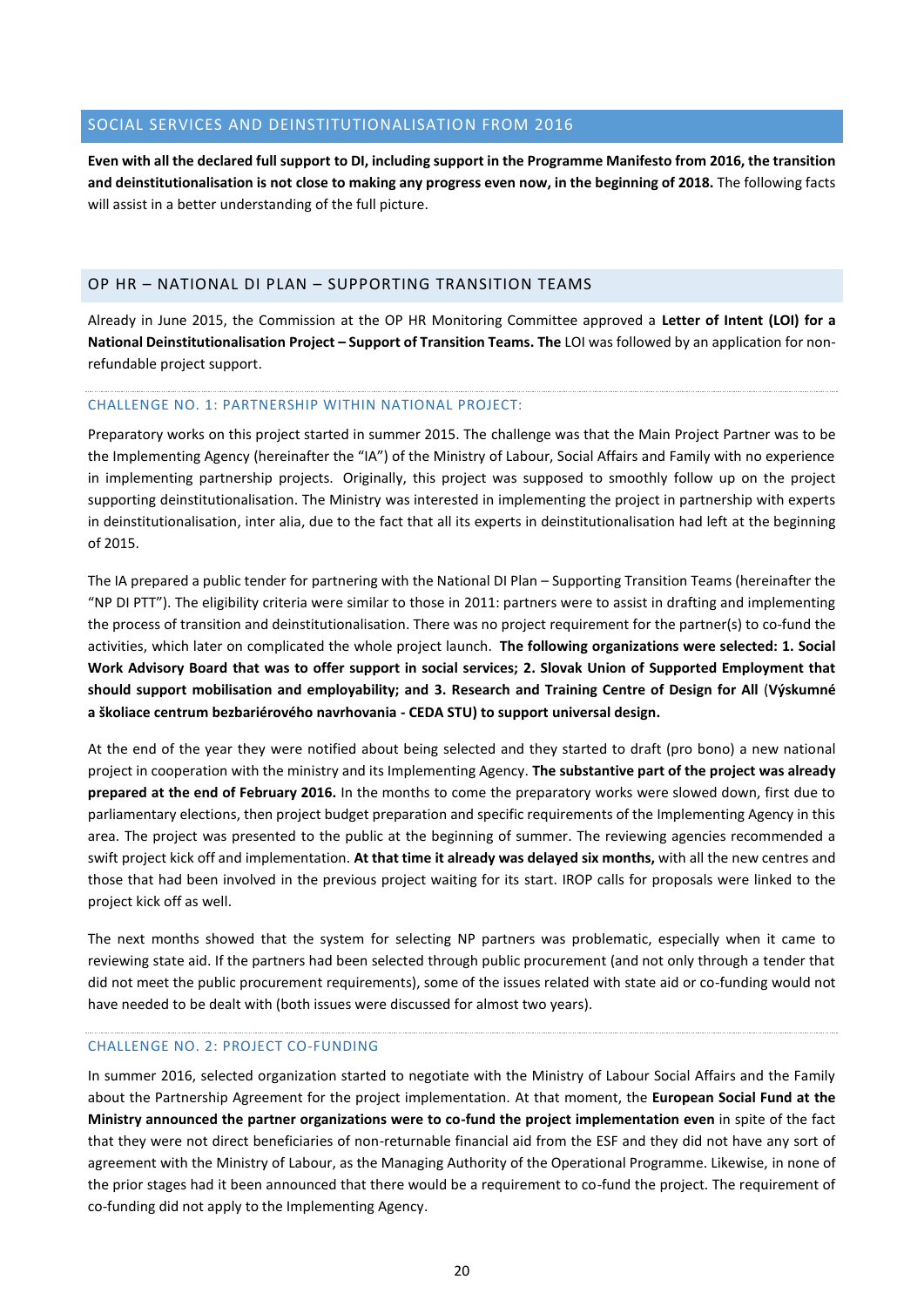## <span id="page-19-0"></span>SOCIAL SERVICES AND DEINSTITUTIONALISATION FROM 2016

**Even with all the declared full support to DI, including support in the Programme Manifesto from 2016, the transition and deinstitutionalisation is not close to making any progress even now, in the beginning of 2018.** The following facts will assist in a better understanding of the full picture.

#### <span id="page-19-1"></span>OP HR – NATIONAL DI PLAN – SUPPORTING TRANSITION TEAMS

Already in June 2015, the Commission at the OP HR Monitoring Committee approved a **Letter of Intent (LOI) for a National Deinstitutionalisation Project – Support of Transition Teams. The** LOI was followed by an application for nonrefundable project support.

#### CHALLENGE NO. 1: PARTNERSHIP WITHIN NATIONAL PROJECT:

Preparatory works on this project started in summer 2015. The challenge was that the Main Project Partner was to be the Implementing Agency (hereinafter the "IA") of the Ministry of Labour, Social Affairs and Family with no experience in implementing partnership projects. Originally, this project was supposed to smoothly follow up on the project supporting deinstitutionalisation. The Ministry was interested in implementing the project in partnership with experts in deinstitutionalisation, inter alia, due to the fact that all its experts in deinstitutionalisation had left at the beginning of 2015.

The IA prepared a public tender for partnering with the National DI Plan – Supporting Transition Teams (hereinafter the "NP DI PTT"). The eligibility criteria were similar to those in 2011: partners were to assist in drafting and implementing the process of transition and deinstitutionalisation. There was no project requirement for the partner(s) to co-fund the activities, which later on complicated the whole project launch. **The following organizations were selected: 1. Social Work Advisory Board that was to offer support in social services; 2. Slovak Union of Supported Employment that should support mobilisation and employability; and 3. Research and Training Centre of Design for All** (**Výskumné a školiace centrum bezbariérového navrhovania - CEDA STU) to support universal design.**

At the end of the year they were notified about being selected and they started to draft (pro bono) a new national project in cooperation with the ministry and its Implementing Agency. **The substantive part of the project was already prepared at the end of February 2016.** In the months to come the preparatory works were slowed down, first due to parliamentary elections, then project budget preparation and specific requirements of the Implementing Agency in this area. The project was presented to the public at the beginning of summer. The reviewing agencies recommended a swift project kick off and implementation. **At that time it already was delayed six months,** with all the new centres and those that had been involved in the previous project waiting for its start. IROP calls for proposals were linked to the project kick off as well.

The next months showed that the system for selecting NP partners was problematic, especially when it came to reviewing state aid. If the partners had been selected through public procurement (and not only through a tender that did not meet the public procurement requirements), some of the issues related with state aid or co-funding would not have needed to be dealt with (both issues were discussed for almost two years).

#### CHALLENGE NO. 2: PROJECT CO-FUNDING

In summer 2016, selected organization started to negotiate with the Ministry of Labour Social Affairs and the Family about the Partnership Agreement for the project implementation. At that moment, the **European Social Fund at the Ministry announced the partner organizations were to co-fund the project implementation even** in spite of the fact that they were not direct beneficiaries of non-returnable financial aid from the ESF and they did not have any sort of agreement with the Ministry of Labour, as the Managing Authority of the Operational Programme. Likewise, in none of the prior stages had it been announced that there would be a requirement to co-fund the project. The requirement of co-funding did not apply to the Implementing Agency.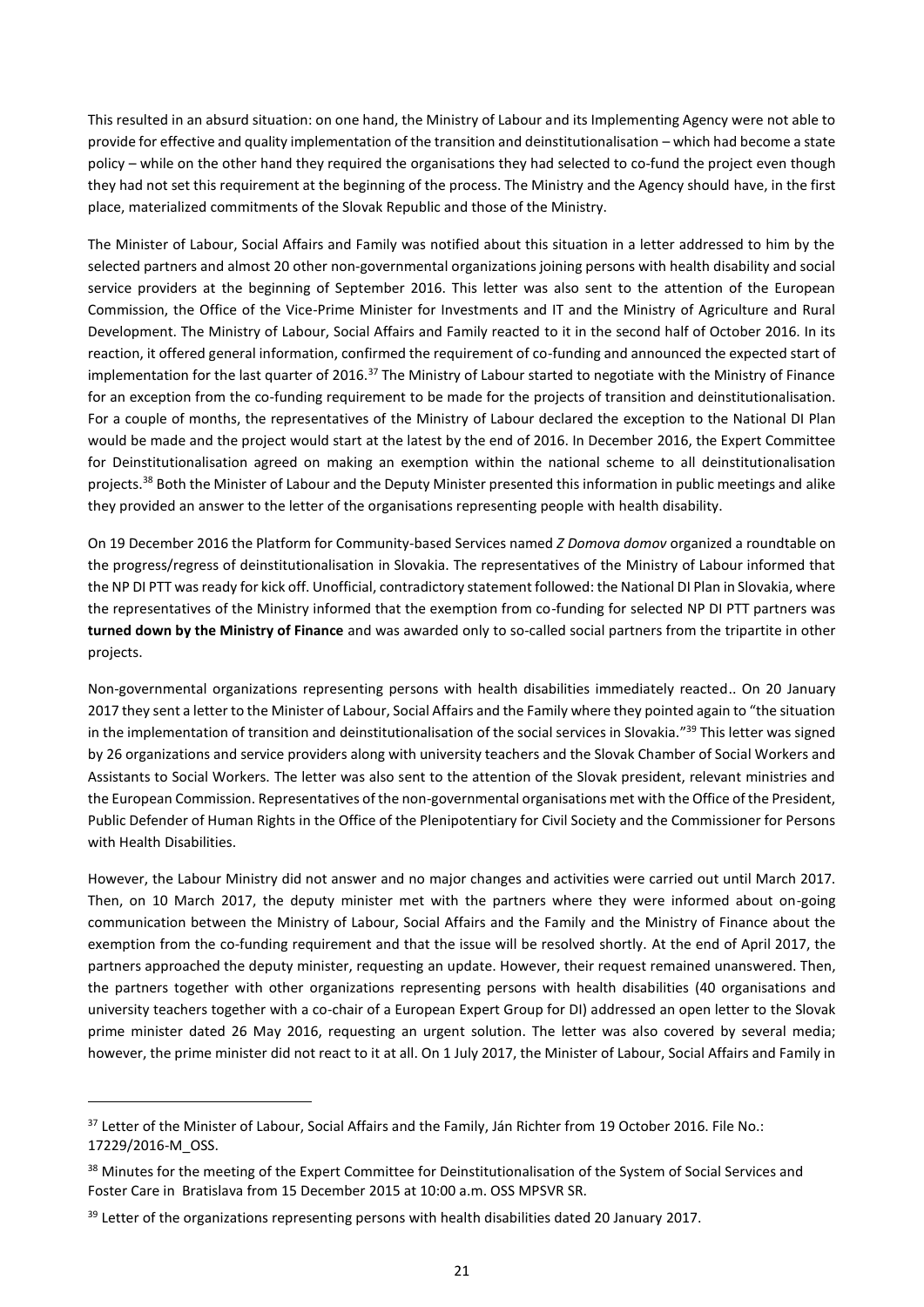This resulted in an absurd situation: on one hand, the Ministry of Labour and its Implementing Agency were not able to provide for effective and quality implementation of the transition and deinstitutionalisation – which had become a state policy – while on the other hand they required the organisations they had selected to co-fund the project even though they had not set this requirement at the beginning of the process. The Ministry and the Agency should have, in the first place, materialized commitments of the Slovak Republic and those of the Ministry.

The Minister of Labour, Social Affairs and Family was notified about this situation in a letter addressed to him by the selected partners and almost 20 other non-governmental organizations joining persons with health disability and social service providers at the beginning of September 2016. This letter was also sent to the attention of the European Commission, the Office of the Vice-Prime Minister for Investments and IT and the Ministry of Agriculture and Rural Development. The Ministry of Labour, Social Affairs and Family reacted to it in the second half of October 2016. In its reaction, it offered general information, confirmed the requirement of co-funding and announced the expected start of implementation for the last quarter of 2016.<sup>37</sup> The Ministry of Labour started to negotiate with the Ministry of Finance for an exception from the co-funding requirement to be made for the projects of transition and deinstitutionalisation. For a couple of months, the representatives of the Ministry of Labour declared the exception to the National DI Plan would be made and the project would start at the latest by the end of 2016. In December 2016, the Expert Committee for Deinstitutionalisation agreed on making an exemption within the national scheme to all deinstitutionalisation projects.<sup>38</sup> Both the Minister of Labour and the Deputy Minister presented this information in public meetings and alike they provided an answer to the letter of the organisations representing people with health disability.

On 19 December 2016 the Platform for Community-based Services named *Z Domova domov* organized a roundtable on the progress/regress of deinstitutionalisation in Slovakia. The representatives of the Ministry of Labour informed that the NP DI PTT was ready for kick off. Unofficial, contradictory statement followed: the National DI Plan in Slovakia, where the representatives of the Ministry informed that the exemption from co-funding for selected NP DI PTT partners was **turned down by the Ministry of Finance** and was awarded only to so-called social partners from the tripartite in other projects.

Non-governmental organizations representing persons with health disabilities immediately reacted.. On 20 January 2017 they sent a letter to the Minister of Labour, Social Affairs and the Family where they pointed again to "the situation in the implementation of transition and deinstitutionalisation of the social services in Slovakia."<sup>39</sup> This letter was signed by 26 organizations and service providers along with university teachers and the Slovak Chamber of Social Workers and Assistants to Social Workers. The letter was also sent to the attention of the Slovak president, relevant ministries and the European Commission. Representatives of the non-governmental organisations met with the Office of the President, Public Defender of Human Rights in the Office of the Plenipotentiary for Civil Society and the Commissioner for Persons with Health Disabilities.

However, the Labour Ministry did not answer and no major changes and activities were carried out until March 2017. Then, on 10 March 2017, the deputy minister met with the partners where they were informed about on-going communication between the Ministry of Labour, Social Affairs and the Family and the Ministry of Finance about the exemption from the co-funding requirement and that the issue will be resolved shortly. At the end of April 2017, the partners approached the deputy minister, requesting an update. However, their request remained unanswered. Then, the partners together with other organizations representing persons with health disabilities (40 organisations and university teachers together with a co-chair of a European Expert Group for DI) addressed an open letter to the Slovak prime minister dated 26 May 2016, requesting an urgent solution. The letter was also covered by several media; however, the prime minister did not react to it at all. On 1 July 2017, the Minister of Labour, Social Affairs and Family in

<sup>&</sup>lt;sup>37</sup> Letter of the Minister of Labour, Social Affairs and the Family, Ján Richter from 19 October 2016. File No.: 17229/2016-M\_OSS.

<sup>&</sup>lt;sup>38</sup> Minutes for the meeting of the Expert Committee for Deinstitutionalisation of the System of Social Services and Foster Care in Bratislava from 15 December 2015 at 10:00 a.m. OSS MPSVR SR.

<sup>&</sup>lt;sup>39</sup> Letter of the organizations representing persons with health disabilities dated 20 January 2017.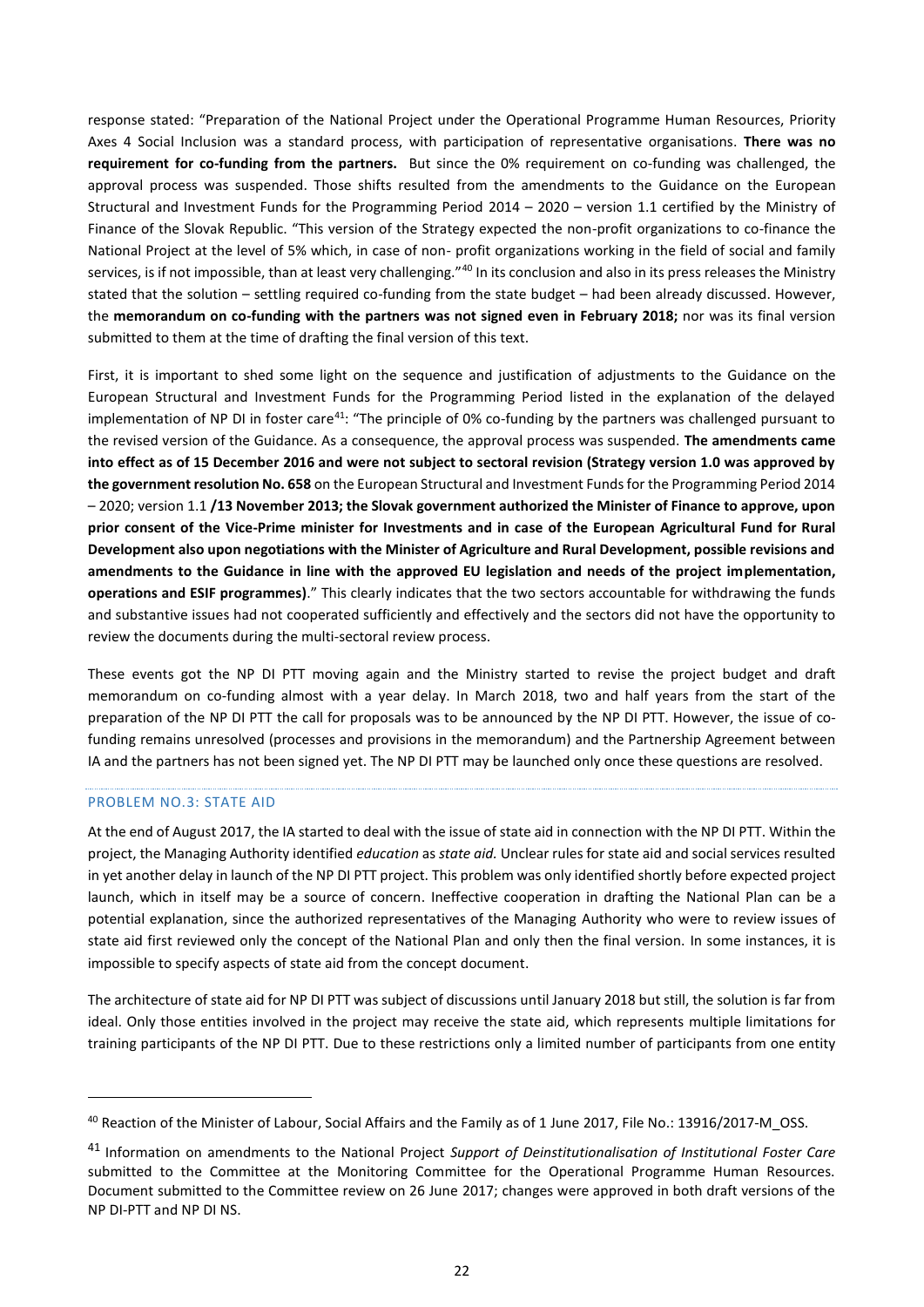response stated: "Preparation of the National Project under the Operational Programme Human Resources, Priority Axes 4 Social Inclusion was a standard process, with participation of representative organisations. **There was no requirement for co-funding from the partners.** But since the 0% requirement on co-funding was challenged, the approval process was suspended. Those shifts resulted from the amendments to the Guidance on the European Structural and Investment Funds for the Programming Period 2014 – 2020 – version 1.1 certified by the Ministry of Finance of the Slovak Republic. "This version of the Strategy expected the non-profit organizations to co-finance the National Project at the level of 5% which, in case of non- profit organizations working in the field of social and family services, is if not impossible, than at least very challenging."<sup>40</sup> In its conclusion and also in its press releases the Ministry stated that the solution – settling required co-funding from the state budget – had been already discussed. However, the **memorandum on co-funding with the partners was not signed even in February 2018;** nor was its final version submitted to them at the time of drafting the final version of this text.

First, it is important to shed some light on the sequence and justification of adjustments to the Guidance on the European Structural and Investment Funds for the Programming Period listed in the explanation of the delayed implementation of NP DI in foster care<sup>41</sup>: "The principle of 0% co-funding by the partners was challenged pursuant to the revised version of the Guidance. As a consequence, the approval process was suspended. **The amendments came into effect as of 15 December 2016 and were not subject to sectoral revision (Strategy version 1.0 was approved by the government resolution No. 658** on the European Structural and Investment Funds for the Programming Period 2014 – 2020; version 1.1 **/13 November 2013; the Slovak government authorized the Minister of Finance to approve, upon prior consent of the Vice-Prime minister for Investments and in case of the European Agricultural Fund for Rural Development also upon negotiations with the Minister of Agriculture and Rural Development, possible revisions and amendments to the Guidance in line with the approved EU legislation and needs of the project implementation, operations and ESIF programmes)**." This clearly indicates that the two sectors accountable for withdrawing the funds and substantive issues had not cooperated sufficiently and effectively and the sectors did not have the opportunity to review the documents during the multi-sectoral review process.

These events got the NP DI PTT moving again and the Ministry started to revise the project budget and draft memorandum on co-funding almost with a year delay. In March 2018, two and half years from the start of the preparation of the NP DI PTT the call for proposals was to be announced by the NP DI PTT. However, the issue of cofunding remains unresolved (processes and provisions in the memorandum) and the Partnership Agreement between IA and the partners has not been signed yet. The NP DI PTT may be launched only once these questions are resolved.

#### PROBLEM NO.3: STATE AID

1

At the end of August 2017, the IA started to deal with the issue of state aid in connection with the NP DI PTT. Within the project, the Managing Authority identified *education* as *state aid.* Unclear rules for state aid and social services resulted in yet another delay in launch of the NP DI PTT project. This problem was only identified shortly before expected project launch, which in itself may be a source of concern. Ineffective cooperation in drafting the National Plan can be a potential explanation, since the authorized representatives of the Managing Authority who were to review issues of state aid first reviewed only the concept of the National Plan and only then the final version. In some instances, it is impossible to specify aspects of state aid from the concept document.

The architecture of state aid for NP DI PTT was subject of discussions until January 2018 but still, the solution is far from ideal. Only those entities involved in the project may receive the state aid, which represents multiple limitations for training participants of the NP DI PTT. Due to these restrictions only a limited number of participants from one entity

<sup>40</sup> Reaction of the Minister of Labour, Social Affairs and the Family as of 1 June 2017, File No.: 13916/2017-M\_OSS.

<sup>41</sup> Information on amendments to the National Project *Support of Deinstitutionalisation of Institutional Foster Care*  submitted to the Committee at the Monitoring Committee for the Operational Programme Human Resources. Document submitted to the Committee review on 26 June 2017; changes were approved in both draft versions of the NP DI-PTT and NP DI NS.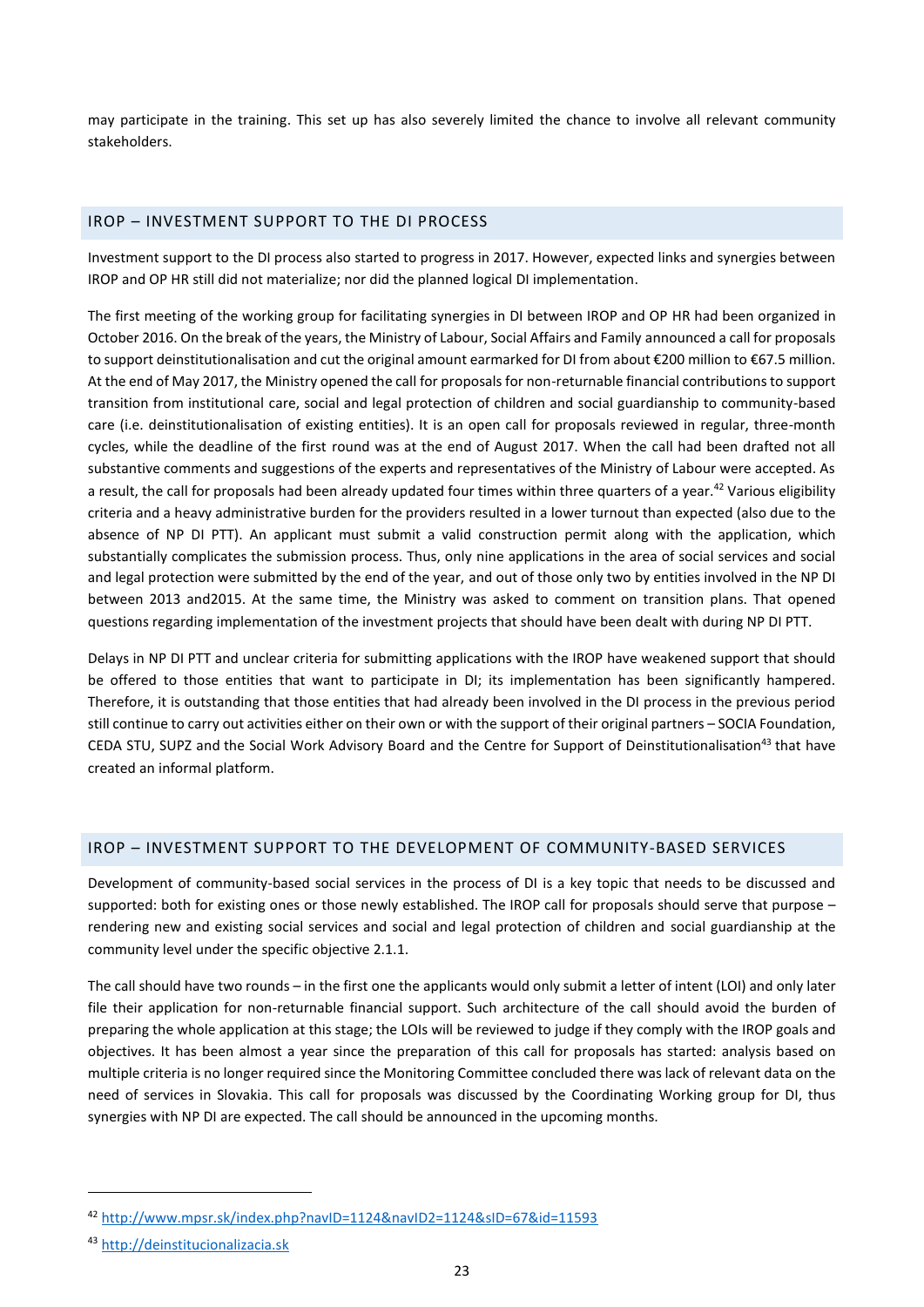may participate in the training. This set up has also severely limited the chance to involve all relevant community stakeholders.

## <span id="page-22-0"></span>IROP – INVESTMENT SUPPORT TO THE DI PROCESS

Investment support to the DI process also started to progress in 2017. However, expected links and synergies between IROP and OP HR still did not materialize; nor did the planned logical DI implementation.

The first meeting of the working group for facilitating synergies in DI between IROP and OP HR had been organized in October 2016. On the break of the years, the Ministry of Labour, Social Affairs and Family announced a call for proposals to support deinstitutionalisation and cut the original amount earmarked for DI from about €200 million to €67.5 million. At the end of May 2017, the Ministry opened the call for proposals for non-returnable financial contributionsto support transition from institutional care, social and legal protection of children and social guardianship to community-based care (i.e. deinstitutionalisation of existing entities). It is an open call for proposals reviewed in regular, three-month cycles, while the deadline of the first round was at the end of August 2017. When the call had been drafted not all substantive comments and suggestions of the experts and representatives of the Ministry of Labour were accepted. As a result, the call for proposals had been already updated four times within three quarters of a year.<sup>42</sup> Various eligibility criteria and a heavy administrative burden for the providers resulted in a lower turnout than expected (also due to the absence of NP DI PTT). An applicant must submit a valid construction permit along with the application, which substantially complicates the submission process. Thus, only nine applications in the area of social services and social and legal protection were submitted by the end of the year, and out of those only two by entities involved in the NP DI between 2013 and2015. At the same time, the Ministry was asked to comment on transition plans. That opened questions regarding implementation of the investment projects that should have been dealt with during NP DI PTT.

Delays in NP DI PTT and unclear criteria for submitting applications with the IROP have weakened support that should be offered to those entities that want to participate in DI; its implementation has been significantly hampered. Therefore, it is outstanding that those entities that had already been involved in the DI process in the previous period still continue to carry out activities either on their own or with the support of their original partners – SOCIA Foundation, CEDA STU, SUPZ and the Social Work Advisory Board and the Centre for Support of Deinstitutionalisation<sup>43</sup> that have created an informal platform.

## <span id="page-22-1"></span>IROP – INVESTMENT SUPPORT TO THE DEVELOPMENT OF COMMUNITY-BASED SERVICES

Development of community-based social services in the process of DI is a key topic that needs to be discussed and supported: both for existing ones or those newly established. The IROP call for proposals should serve that purpose rendering new and existing social services and social and legal protection of children and social guardianship at the community level under the specific objective 2.1.1.

The call should have two rounds – in the first one the applicants would only submit a letter of intent (LOI) and only later file their application for non-returnable financial support. Such architecture of the call should avoid the burden of preparing the whole application at this stage; the LOIs will be reviewed to judge if they comply with the IROP goals and objectives. It has been almost a year since the preparation of this call for proposals has started: analysis based on multiple criteria is no longer required since the Monitoring Committee concluded there was lack of relevant data on the need of services in Slovakia. This call for proposals was discussed by the Coordinating Working group for DI, thus synergies with NP DI are expected. The call should be announced in the upcoming months.

<sup>42</sup> <http://www.mpsr.sk/index.php?navID=1124&navID2=1124&sID=67&id=11593>

<sup>43</sup> [http://deinstitucionalizacia.sk](http://deinstitucionalizacia.sk/)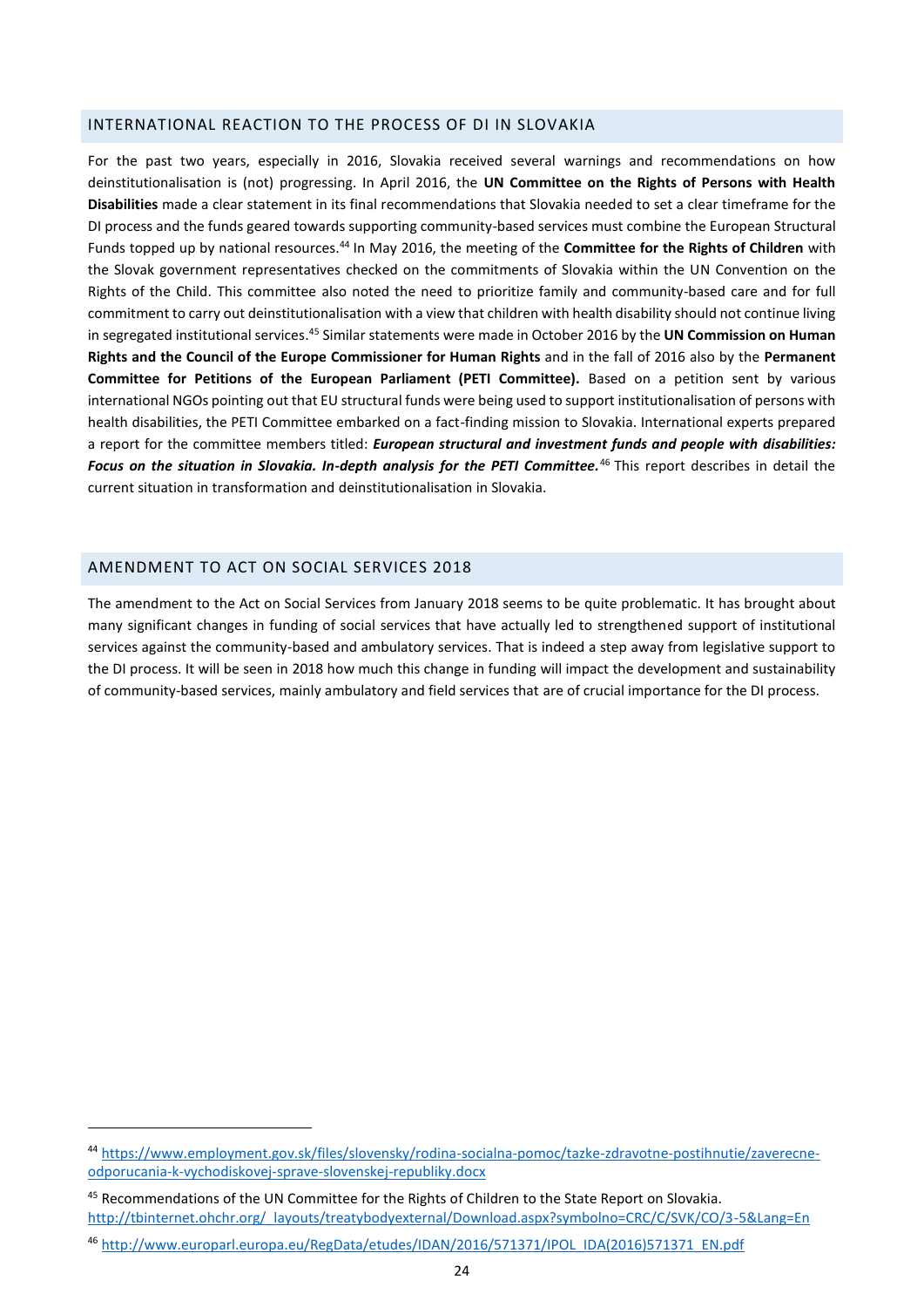#### <span id="page-23-0"></span>INTERNATIONAL REACTION TO THE PROCESS OF DI IN SLOVAKIA

For the past two years, especially in 2016, Slovakia received several warnings and recommendations on how deinstitutionalisation is (not) progressing. In April 2016, the **UN Committee on the Rights of Persons with Health Disabilities** made a clear statement in its final recommendations that Slovakia needed to set a clear timeframe for the DI process and the funds geared towards supporting community-based services must combine the European Structural Funds topped up by national resources.<sup>44</sup> In May 2016, the meeting of the **Committee for the Rights of Children** with the Slovak government representatives checked on the commitments of Slovakia within the UN Convention on the Rights of the Child. This committee also noted the need to prioritize family and community-based care and for full commitment to carry out deinstitutionalisation with a view that children with health disability should not continue living in segregated institutional services. <sup>45</sup> Similar statements were made in October 2016 by the **UN Commission on Human Rights and the Council of the Europe Commissioner for Human Rights** and in the fall of 2016 also by the **Permanent Committee for Petitions of the European Parliament (PETI Committee).** Based on a petition sent by various international NGOs pointing out that EU structural funds were being used to support institutionalisation of persons with health disabilities, the PETI Committee embarked on a fact-finding mission to Slovakia. International experts prepared a report for the committee members titled: *European structural and investment funds and people with disabilities: Focus on the situation in Slovakia. In-depth analysis for the PETI Committee.*<sup>46</sup> This report describes in detail the current situation in transformation and deinstitutionalisation in Slovakia.

## <span id="page-23-1"></span>AMENDMENT TO ACT ON SOCIAL SERVICES 2018

**.** 

The amendment to the Act on Social Services from January 2018 seems to be quite problematic. It has brought about many significant changes in funding of social services that have actually led to strengthened support of institutional services against the community-based and ambulatory services. That is indeed a step away from legislative support to the DI process. It will be seen in 2018 how much this change in funding will impact the development and sustainability of community-based services, mainly ambulatory and field services that are of crucial importance for the DI process.

<sup>44</sup> [https://www.employment.gov.sk/files/slovensky/rodina-socialna-pomoc/tazke-zdravotne-postihnutie/zaverecne](https://www.employment.gov.sk/files/slovensky/rodina-socialna-pomoc/tazke-zdravotne-postihnutie/zaverecne-odporucania-k-vychodiskovej-sprave-slovenskej-republiky.docx)[odporucania-k-vychodiskovej-sprave-slovenskej-republiky.docx](https://www.employment.gov.sk/files/slovensky/rodina-socialna-pomoc/tazke-zdravotne-postihnutie/zaverecne-odporucania-k-vychodiskovej-sprave-slovenskej-republiky.docx)

<sup>45</sup> Recommendations of the UN Committee for the Rights of Children to the State Report on Slovakia. [http://tbinternet.ohchr.org/\\_layouts/treatybodyexternal/Download.aspx?symbolno=CRC/C/SVK/CO/3-5&Lang=En](http://tbinternet.ohchr.org/_layouts/treatybodyexternal/Download.aspx?symbolno=CRC/C/SVK/CO/3-5&Lang=En)

<sup>46</sup> [http://www.europarl.europa.eu/RegData/etudes/IDAN/2016/571371/IPOL\\_IDA\(2016\)571371\\_EN.pdf](http://www.europarl.europa.eu/RegData/etudes/IDAN/2016/571371/IPOL_IDA(2016)571371_EN.pdf)